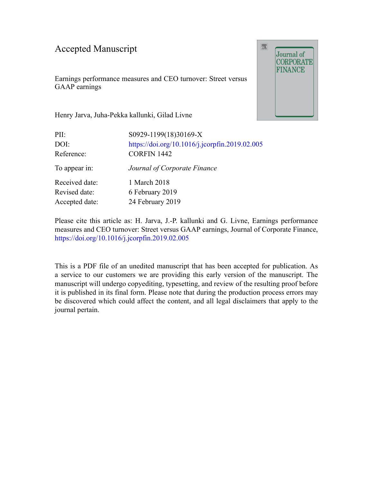### Accepted Manuscript

Earnings performance measures and CEO turnover: Street versus GAAP earnings



Henry Jarva, Juha-Pekka kallunki, Gilad Livne

| PII:           | S0929-1199(18)30169-X                          |
|----------------|------------------------------------------------|
| DOI:           | https://doi.org/10.1016/j.jcorpfin.2019.02.005 |
| Reference:     | <b>CORFIN 1442</b>                             |
| To appear in:  | Journal of Corporate Finance                   |
| Received date: | 1 March 2018                                   |
| Revised date:  | 6 February 2019                                |
| Accepted date: | 24 February 2019                               |
|                |                                                |

Please cite this article as: H. Jarva, J.-P. kallunki and G. Livne, Earnings performance measures and CEO turnover: Street versus GAAP earnings, Journal of Corporate Finance, <https://doi.org/10.1016/j.jcorpfin.2019.02.005>

This is a PDF file of an unedited manuscript that has been accepted for publication. As a service to our customers we are providing this early version of the manuscript. The manuscript will undergo copyediting, typesetting, and review of the resulting proof before it is published in its final form. Please note that during the production process errors may be discovered which could affect the content, and all legal disclaimers that apply to the journal pertain.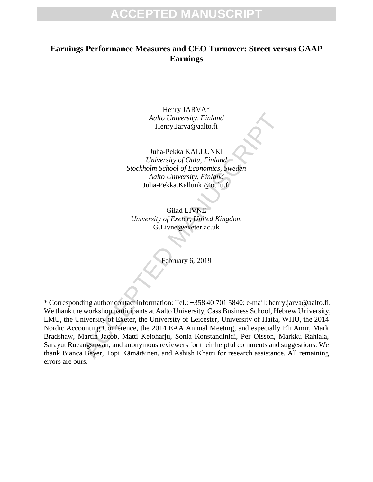### **Earnings Performance Measures and CEO Turnover: Street versus GAAP Earnings**

Henry JARVA\* *Aalto University, Finland* Henry.Jarva@aalto.fi

Juha-Pekka KALLUNKI *University of Oulu, Finland Stockholm School of Economics, Sweden Aalto University, Finland* Juha-Pekka.Kallunki@oulu.fi

Gilad LIVNE *University of Exeter, United Kingdom* G.Livne@exeter.ac.uk

February 6, 2019

Aalto University, Finland<br>
Henry.Jarva@aalto.fi<br>
Huha-Pekka KALLUNKI<br>
University of Oulu, Finland<br>
Stockholm School of Economics, Sweden<br>
Aalto University, Finland<br>
Juha-Pekka.Kallunki@oulu.fi<br>
Gilad LIVNE<br>
University of E \* Corresponding author contact information: Tel.: +358 40 701 5840; e-mail: henry.jarva@aalto.fi. We thank the workshop participants at Aalto University, Cass Business School, Hebrew University, LMU, the University of Exeter, the University of Leicester, University of Haifa, WHU, the 2014 Nordic Accounting Conference, the 2014 EAA Annual Meeting, and especially Eli Amir, Mark Bradshaw, Martin Jacob, Matti Keloharju, Sonia Konstandinidi, Per Olsson, Markku Rahiala, Sarayut Rueangsuwan, and anonymous reviewers for their helpful comments and suggestions. We thank Bianca Beyer, Topi Kämäräinen, and Ashish Khatri for research assistance. All remaining errors are ours.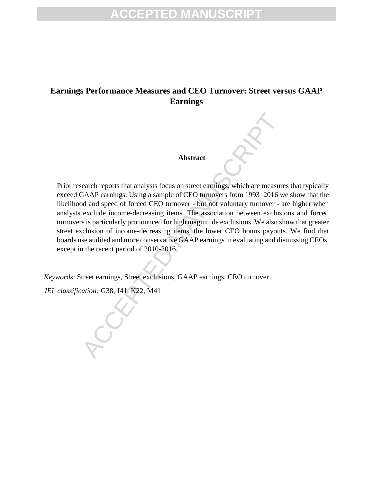### **Earnings Performance Measures and CEO Turnover: Street versus GAAP Earnings**

#### **Abstract**

Abstract<br>
earch reports that analysts focus on street earnings, which are measured<br>
GAAP earnings. Using a sample of CEO turnovers from 1993–2016 w<br>
od and speed of forced CEO turnover - but not voluntary turnover - a<br>
exc Prior research reports that analysts focus on street earnings, which are measures that typically exceed GAAP earnings. Using a sample of CEO turnovers from 1993–2016 we show that the likelihood and speed of forced CEO turnover - but not voluntary turnover - are higher when analysts exclude income-decreasing items. The association between exclusions and forced turnovers is particularly pronounced for high magnitude exclusions. We also show that greater street exclusion of income-decreasing items, the lower CEO bonus payouts. We find that boards use audited and more conservative GAAP earnings in evaluating and dismissing CEOs, except in the recent period of 2010-2016.

*Keywords*: Street earnings, Street exclusions, GAAP earnings, CEO turnover

*JEL classification:* G38, J41, K22, M41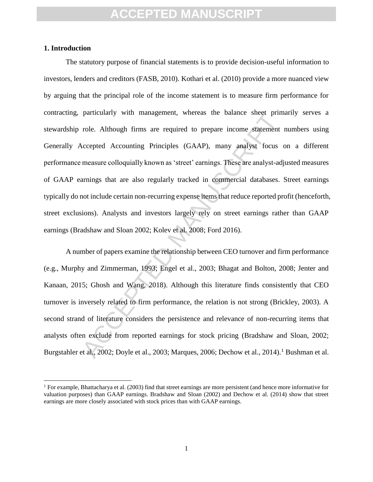#### **1. Introduction**

 $\overline{a}$ 

particularly with management, whereas the balance sneet prim<br>role. Although firms are required to prepare income statement<br>accepted Accounting Principles (GAAP), many analyst focus<br>measure colloquially known as 'street' ea The statutory purpose of financial statements is to provide decision-useful information to investors, lenders and creditors (FASB, 2010). Kothari et al. (2010) provide a more nuanced view by arguing that the principal role of the income statement is to measure firm performance for contracting, particularly with management, whereas the balance sheet primarily serves a stewardship role. Although firms are required to prepare income statement numbers using Generally Accepted Accounting Principles (GAAP), many analyst focus on a different performance measure colloquially known as 'street' earnings. These are analyst-adjusted measures of GAAP earnings that are also regularly tracked in commercial databases. Street earnings typically do not include certain non-recurring expense items that reduce reported profit (henceforth, street exclusions). Analysts and investors largely rely on street earnings rather than GAAP earnings (Bradshaw and Sloan 2002; Kolev et al. 2008; Ford 2016).

A number of papers examine the relationship between CEO turnover and firm performance (e.g., Murphy and Zimmerman, 1993; Engel et al., 2003; Bhagat and Bolton, 2008; Jenter and Kanaan, 2015; Ghosh and Wang, 2018). Although this literature finds consistently that CEO turnover is inversely related to firm performance, the relation is not strong (Brickley, 2003). A second strand of literature considers the persistence and relevance of non-recurring items that analysts often exclude from reported earnings for stock pricing (Bradshaw and Sloan, 2002; Burgstahler et al., 2002; Doyle et al., 2003; Marques, 2006; Dechow et al., 2014).<sup>1</sup> Bushman et al.

<sup>&</sup>lt;sup>1</sup> For example, Bhattacharya et al. (2003) find that street earnings are more persistent (and hence more informative for valuation purposes) than GAAP earnings. Bradshaw and Sloan (2002) and Dechow et al. (2014) show that street earnings are more closely associated with stock prices than with GAAP earnings.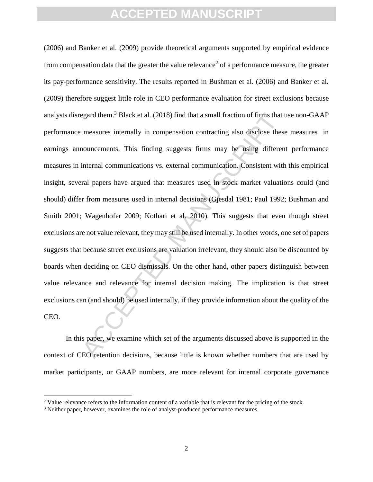egard them.<sup>3</sup> Black et al. (2018) find that a small fraction of firms that<br>measures internally in compensation contracting also disclose thes<br>nouncements. This finding suggests firms may be using differer<br>internal communi (2006) and Banker et al. (2009) provide theoretical arguments supported by empirical evidence from compensation data that the greater the value relevance<sup>2</sup> of a performance measure, the greater its pay-performance sensitivity. The results reported in Bushman et al. (2006) and Banker et al. (2009) therefore suggest little role in CEO performance evaluation for street exclusions because analysts disregard them.<sup>3</sup> Black et al. (2018) find that a small fraction of firms that use non-GAAP performance measures internally in compensation contracting also disclose these measures in earnings announcements. This finding suggests firms may be using different performance measures in internal communications vs. external communication. Consistent with this empirical insight, several papers have argued that measures used in stock market valuations could (and should) differ from measures used in internal decisions (Gjesdal 1981; Paul 1992; Bushman and Smith 2001; Wagenhofer 2009; Kothari et al. 2010). This suggests that even though street exclusions are not value relevant, they may still be used internally. In other words, one set of papers suggests that because street exclusions are valuation irrelevant, they should also be discounted by boards when deciding on CEO dismissals. On the other hand, other papers distinguish between value relevance and relevance for internal decision making. The implication is that street exclusions can (and should) be used internally, if they provide information about the quality of the CEO.

In this paper, we examine which set of the arguments discussed above is supported in the context of CEO retention decisions, because little is known whether numbers that are used by market participants, or GAAP numbers, are more relevant for internal corporate governance

 $\overline{\phantom{a}}$ 

<sup>&</sup>lt;sup>2</sup> Value relevance refers to the information content of a variable that is relevant for the pricing of the stock.

<sup>3</sup> Neither paper, however, examines the role of analyst-produced performance measures.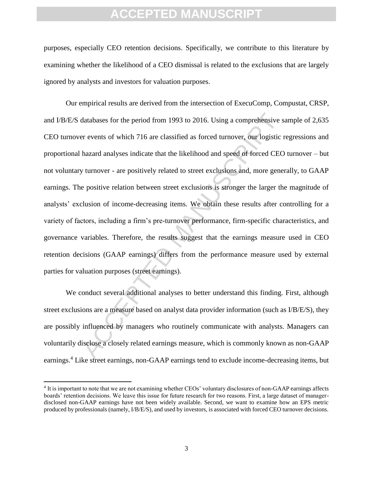purposes, especially CEO retention decisions. Specifically, we contribute to this literature by examining whether the likelihood of a CEO dismissal is related to the exclusions that are largely ignored by analysts and investors for valuation purposes.

databases for the period from 1993 to 2016. Using a comprehensive servents of which 716 are classified as forced turnover, our logistic in hazard analyses indicate that the likelihood and speed of forced CEC w turnover - a Our empirical results are derived from the intersection of ExecuComp, Compustat, CRSP, and I/B/E/S databases for the period from 1993 to 2016. Using a comprehensive sample of 2,635 CEO turnover events of which 716 are classified as forced turnover, our logistic regressions and proportional hazard analyses indicate that the likelihood and speed of forced CEO turnover – but not voluntary turnover - are positively related to street exclusions and, more generally, to GAAP earnings. The positive relation between street exclusions is stronger the larger the magnitude of analysts' exclusion of income-decreasing items. We obtain these results after controlling for a variety of factors, including a firm's pre-turnover performance, firm-specific characteristics, and governance variables. Therefore, the results suggest that the earnings measure used in CEO retention decisions (GAAP earnings) differs from the performance measure used by external parties for valuation purposes (street earnings).

We conduct several additional analyses to better understand this finding. First, although street exclusions are a measure based on analyst data provider information (such as I/B/E/S), they are possibly influenced by managers who routinely communicate with analysts. Managers can voluntarily disclose a closely related earnings measure, which is commonly known as non-GAAP earnings.<sup>4</sup> Like street earnings, non-GAAP earnings tend to exclude income-decreasing items, but

l

<sup>4</sup> It is important to note that we are not examining whether CEOs' voluntary disclosures of non-GAAP earnings affects boards' retention decisions. We leave this issue for future research for two reasons. First, a large dataset of managerdisclosed non-GAAP earnings have not been widely available. Second, we want to examine how an EPS metric produced by professionals (namely, I/B/E/S), and used by investors, is associated with forced CEO turnover decisions.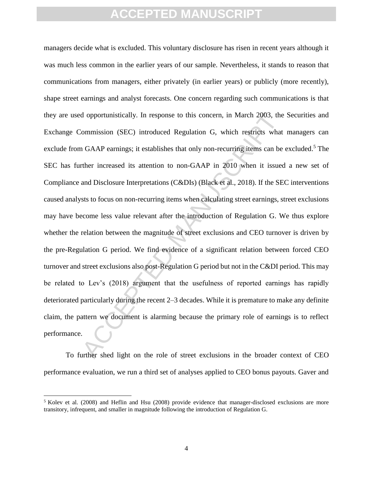d opportunistically. In response to this concern, in March 2003, the<br>ommission (SEC) introduced Regulation G, which restricts what<br>GAAP earnings; it establishes that only non-recurring items can be<br>ther increased its atten managers decide what is excluded. This voluntary disclosure has risen in recent years although it was much less common in the earlier years of our sample. Nevertheless, it stands to reason that communications from managers, either privately (in earlier years) or publicly (more recently), shape street earnings and analyst forecasts. One concern regarding such communications is that they are used opportunistically. In response to this concern, in March 2003, the Securities and Exchange Commission (SEC) introduced Regulation G, which restricts what managers can exclude from GAAP earnings; it establishes that only non-recurring items can be excluded.<sup>5</sup> The SEC has further increased its attention to non-GAAP in 2010 when it issued a new set of Compliance and Disclosure Interpretations (C&DIs) (Black et al., 2018). If the SEC interventions caused analysts to focus on non-recurring items when calculating street earnings, street exclusions may have become less value relevant after the introduction of Regulation G. We thus explore whether the relation between the magnitude of street exclusions and CEO turnover is driven by the pre-Regulation G period. We find evidence of a significant relation between forced CEO turnover and street exclusions also post-Regulation G period but not in the C&DI period. This may be related to Lev's (2018) argument that the usefulness of reported earnings has rapidly deteriorated particularly during the recent 2–3 decades. While it is premature to make any definite claim, the pattern we document is alarming because the primary role of earnings is to reflect performance.

To further shed light on the role of street exclusions in the broader context of CEO performance evaluation, we run a third set of analyses applied to CEO bonus payouts. Gaver and

 $\overline{\phantom{a}}$ 

<sup>5</sup> Kolev et al. (2008) and Heflin and Hsu (2008) provide evidence that manager-disclosed exclusions are more transitory, infrequent, and smaller in magnitude following the introduction of Regulation G.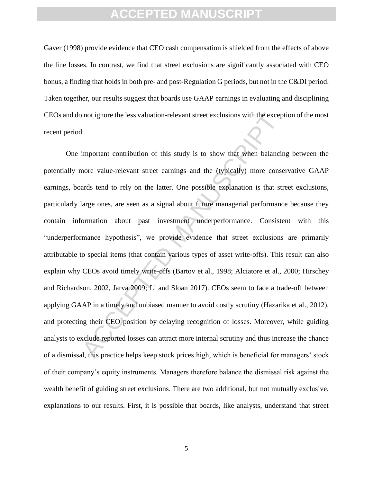Gaver (1998) provide evidence that CEO cash compensation is shielded from the effects of above the line losses. In contrast, we find that street exclusions are significantly associated with CEO bonus, a finding that holds in both pre- and post-Regulation G periods, but not in the C&DI period. Taken together, our results suggest that boards use GAAP earnings in evaluating and disciplining CEOs and do not ignore the less valuation-relevant street exclusions with the exception of the most recent period.

not ignore the less valuation-relevant street exclusions with the exceptional contribution of this study is to show that when balancial emportant contribution of this study is to show that when balancial more value-relevan One important contribution of this study is to show that when balancing between the potentially more value-relevant street earnings and the (typically) more conservative GAAP earnings, boards tend to rely on the latter. One possible explanation is that street exclusions, particularly large ones, are seen as a signal about future managerial performance because they contain information about past investment underperformance. Consistent with this "underperformance hypothesis", we provide evidence that street exclusions are primarily attributable to special items (that contain various types of asset write-offs). This result can also explain why CEOs avoid timely write-offs (Bartov et al., 1998; Alciatore et al., 2000; Hirschey and Richardson, 2002, Jarva 2009; Li and Sloan 2017). CEOs seem to face a trade-off between applying GAAP in a timely and unbiased manner to avoid costly scrutiny (Hazarika et al., 2012), and protecting their CEO position by delaying recognition of losses. Moreover, while guiding analysts to exclude reported losses can attract more internal scrutiny and thus increase the chance of a dismissal, this practice helps keep stock prices high, which is beneficial for managers' stock of their company's equity instruments. Managers therefore balance the dismissal risk against the wealth benefit of guiding street exclusions. There are two additional, but not mutually exclusive, explanations to our results. First, it is possible that boards, like analysts, understand that street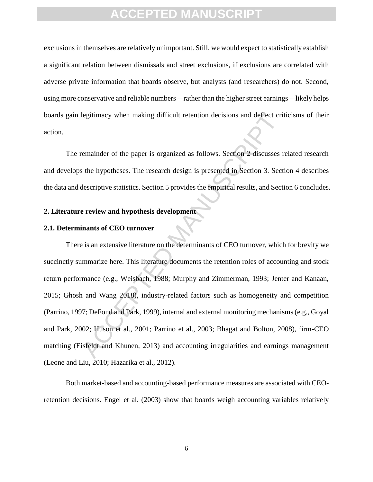exclusions in themselves are relatively unimportant. Still, we would expect to statistically establish a significant relation between dismissals and street exclusions, if exclusions are correlated with adverse private information that boards observe, but analysts (and researchers) do not. Second, using more conservative and reliable numbers—rather than the higher street earnings—likely helps boards gain legitimacy when making difficult retention decisions and deflect criticisms of their action.

The remainder of the paper is organized as follows. Section 2 discusses related research and develops the hypotheses. The research design is presented in Section 3. Section 4 describes the data and descriptive statistics. Section 5 provides the empirical results, and Section 6 concludes.

#### **2. Literature review and hypothesis development**

#### **2.1. Determinants of CEO turnover**

legitimacy when making difficult retention decisions and deflect cri<br>
remainder of the paper is organized as follows. Section 2 discusses r<br>
steh hypotheses. The research design is presented in Section 3. Sect<br>
descriptive There is an extensive literature on the determinants of CEO turnover, which for brevity we succinctly summarize here. This literature documents the retention roles of accounting and stock return performance (e.g., Weisbach, 1988; Murphy and Zimmerman, 1993; Jenter and Kanaan, 2015; Ghosh and Wang 2018), industry-related factors such as homogeneity and competition (Parrino, 1997; DeFond and Park, 1999), internal and external monitoring mechanisms (e.g., Goyal and Park, 2002; Huson et al., 2001; Parrino et al., 2003; Bhagat and Bolton, 2008), firm-CEO matching (Eisfeldt and Khunen, 2013) and accounting irregularities and earnings management (Leone and Liu, 2010; Hazarika et al., 2012).

Both market-based and accounting-based performance measures are associated with CEOretention decisions. Engel et al. (2003) show that boards weigh accounting variables relatively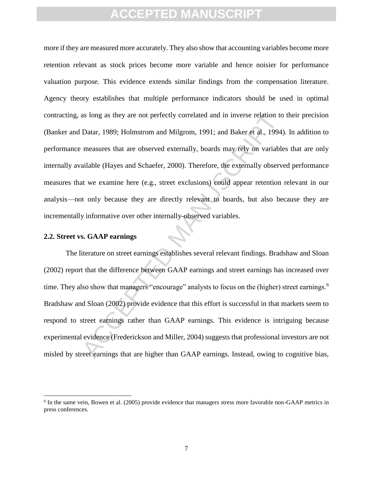as long as they are not perfectly correlated and in inverse relation to<br>Datar, 1989; Holmstrom and Milgrom, 1991; and Baker et al., 1994;<br>measures that are observed externally, boards may rely on variable<br>ailable (Hayes an more if they are measured more accurately. They also show that accounting variables become more retention relevant as stock prices become more variable and hence noisier for performance valuation purpose. This evidence extends similar findings from the compensation literature. Agency theory establishes that multiple performance indicators should be used in optimal contracting, as long as they are not perfectly correlated and in inverse relation to their precision (Banker and Datar, 1989; Holmstrom and Milgrom, 1991; and Baker et al., 1994). In addition to performance measures that are observed externally, boards may rely on variables that are only internally available (Hayes and Schaefer, 2000). Therefore, the externally observed performance measures that we examine here (e.g., street exclusions) could appear retention relevant in our analysis—not only because they are directly relevant to boards, but also because they are incrementally informative over other internally-observed variables.

#### **2.2. Street vs. GAAP earnings**

 $\overline{\phantom{a}}$ 

The literature on street earnings establishes several relevant findings. Bradshaw and Sloan (2002) report that the difference between GAAP earnings and street earnings has increased over time. They also show that managers "encourage" analysts to focus on the (higher) street earnings.<sup>6</sup> Bradshaw and Sloan (2002) provide evidence that this effort is successful in that markets seem to respond to street earnings rather than GAAP earnings. This evidence is intriguing because experimental evidence (Frederickson and Miller, 2004) suggests that professional investors are not misled by street earnings that are higher than GAAP earnings. Instead, owing to cognitive bias,

<sup>&</sup>lt;sup>6</sup> In the same vein, Bowen et al. (2005) provide evidence that managers stress more favorable non-GAAP metrics in press conferences.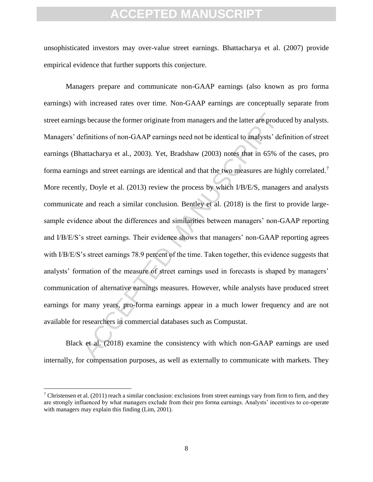unsophisticated investors may over-value street earnings. Bhattacharya et al. (2007) provide empirical evidence that further supports this conjecture.

gs because the former originate from managers and the latter are productions of non-GAAP carnings need not be identical to analysts' defattacharya et al., 2003). Yet, Bradshaw (2003) notes that in 65% of gs and street earn Managers prepare and communicate non-GAAP earnings (also known as pro forma earnings) with increased rates over time. Non-GAAP earnings are conceptually separate from street earnings because the former originate from managers and the latter are produced by analysts. Managers' definitions of non-GAAP earnings need not be identical to analysts' definition of street earnings (Bhattacharya et al., 2003). Yet, Bradshaw (2003) notes that in 65% of the cases, pro forma earnings and street earnings are identical and that the two measures are highly correlated.<sup>7</sup> More recently, Doyle et al. (2013) review the process by which I/B/E/S, managers and analysts communicate and reach a similar conclusion. Bentley et al. (2018) is the first to provide largesample evidence about the differences and similarities between managers' non-GAAP reporting and I/B/E/S's street earnings. Their evidence shows that managers' non-GAAP reporting agrees with I/B/E/S's street earnings 78.9 percent of the time. Taken together, this evidence suggests that analysts' formation of the measure of street earnings used in forecasts is shaped by managers' communication of alternative earnings measures. However, while analysts have produced street earnings for many years, pro-forma earnings appear in a much lower frequency and are not available for researchers in commercial databases such as Compustat.

Black et al. (2018) examine the consistency with which non-GAAP earnings are used internally, for compensation purposes, as well as externally to communicate with markets. They

 $\overline{a}$ 

 $7$  Christensen et al. (2011) reach a similar conclusion: exclusions from street earnings vary from firm to firm, and they are strongly influenced by what managers exclude from their pro forma earnings. Analysts' incentives to co-operate with managers may explain this finding (Lim, 2001).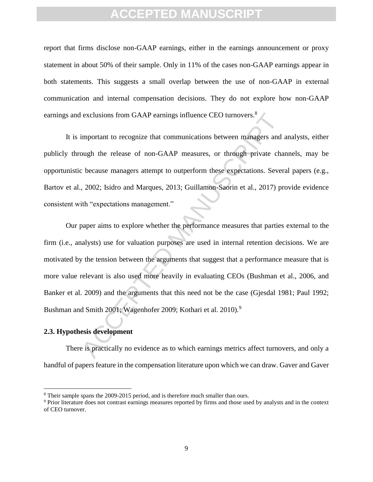report that firms disclose non-GAAP earnings, either in the earnings announcement or proxy statement in about 50% of their sample. Only in 11% of the cases non-GAAP earnings appear in both statements. This suggests a small overlap between the use of non-GAAP in external communication and internal compensation decisions. They do not explore how non-GAAP earnings and exclusions from GAAP earnings influence CEO turnovers.<sup>8</sup>

It is important to recognize that communications between managers and analysts, either publicly through the release of non-GAAP measures, or through private channels, may be opportunistic because managers attempt to outperform these expectations. Several papers (e.g., Bartov et al., 2002; Isidro and Marques, 2013; Guillamon-Saorin et al., 2017) provide evidence consistent with "expectations management."

exclusions from GAAP earnings influence CEO turnovers.<sup>8</sup><br>
important to recognize that communications between managers and<br>
ough the release of non-GAAP measures, or through private cha<br>
because managers attempt to outperf Our paper aims to explore whether the performance measures that parties external to the firm (i.e., analysts) use for valuation purposes are used in internal retention decisions. We are motivated by the tension between the arguments that suggest that a performance measure that is more value relevant is also used more heavily in evaluating CEOs (Bushman et al., 2006, and Banker et al. 2009) and the arguments that this need not be the case (Gjesdal 1981; Paul 1992; Bushman and Smith 2001; Wagenhofer 2009; Kothari et al. 2010).<sup>9</sup>

### **2.3. Hypothesis development**

 $\overline{a}$ 

There is practically no evidence as to which earnings metrics affect turnovers, and only a handful of papers feature in the compensation literature upon which we can draw. Gaver and Gaver

<sup>8</sup> Their sample spans the 2009-2015 period, and is therefore much smaller than ours.

<sup>9</sup> Prior literature does not contrast earnings measures reported by firms and those used by analysts and in the context of CEO turnover.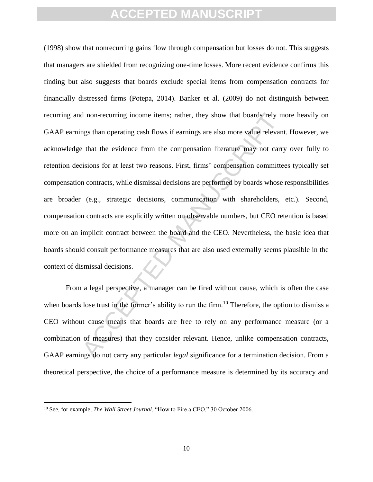d non-recurring income items; rather, they show that boards rely m<br>mgs than operating cash flows if earnings are also more value relevan<br>that the evidence from the compensation literature may not carr<br>isions for at least t (1998) show that nonrecurring gains flow through compensation but losses do not. This suggests that managers are shielded from recognizing one-time losses. More recent evidence confirms this finding but also suggests that boards exclude special items from compensation contracts for financially distressed firms (Potepa, 2014). Banker et al. (2009) do not distinguish between recurring and non-recurring income items; rather, they show that boards rely more heavily on GAAP earnings than operating cash flows if earnings are also more value relevant. However, we acknowledge that the evidence from the compensation literature may not carry over fully to retention decisions for at least two reasons. First, firms' compensation committees typically set compensation contracts, while dismissal decisions are performed by boards whose responsibilities are broader (e.g., strategic decisions, communication with shareholders, etc.). Second, compensation contracts are explicitly written on observable numbers, but CEO retention is based more on an implicit contract between the board and the CEO. Nevertheless, the basic idea that boards should consult performance measures that are also used externally seems plausible in the context of dismissal decisions.

From a legal perspective, a manager can be fired without cause, which is often the case when boards lose trust in the former's ability to run the firm.<sup>10</sup> Therefore, the option to dismiss a CEO without cause means that boards are free to rely on any performance measure (or a combination of measures) that they consider relevant. Hence, unlike compensation contracts, GAAP earnings do not carry any particular *legal* significance for a termination decision. From a theoretical perspective, the choice of a performance measure is determined by its accuracy and

 $\overline{a}$ 

<sup>&</sup>lt;sup>10</sup> See, for example, *The Wall Street Journal*, "How to Fire a CEO," 30 October 2006.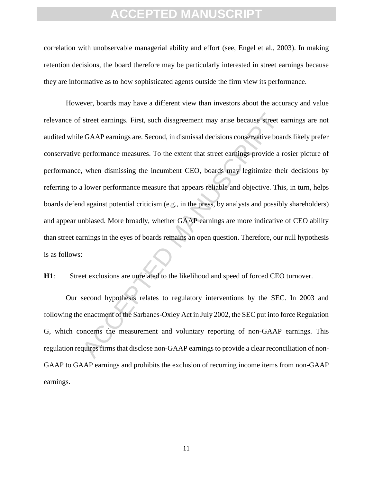correlation with unobservable managerial ability and effort (see, Engel et al., 2003). In making retention decisions, the board therefore may be particularly interested in street earnings because they are informative as to how sophisticated agents outside the firm view its performance.

street earnings. First, such disagreement may arise because street e<br>
EGAAP earnings are. Second, in dismissal decisions conservative boat<br>
performance measures. To the extent that street earnings provide a r<br>
, when dismi However, boards may have a different view than investors about the accuracy and value relevance of street earnings. First, such disagreement may arise because street earnings are not audited while GAAP earnings are. Second, in dismissal decisions conservative boards likely prefer conservative performance measures. To the extent that street earnings provide a rosier picture of performance, when dismissing the incumbent CEO, boards may legitimize their decisions by referring to a lower performance measure that appears reliable and objective. This, in turn, helps boards defend against potential criticism (e.g., in the press, by analysts and possibly shareholders) and appear unbiased. More broadly, whether GAAP earnings are more indicative of CEO ability than street earnings in the eyes of boards remains an open question. Therefore, our null hypothesis is as follows:

**H1**: Street exclusions are unrelated to the likelihood and speed of forced CEO turnover.

Our second hypothesis relates to regulatory interventions by the SEC. In 2003 and following the enactment of the Sarbanes-Oxley Act in July 2002, the SEC put into force Regulation G, which concerns the measurement and voluntary reporting of non-GAAP earnings. This regulation requires firms that disclose non-GAAP earnings to provide a clear reconciliation of non-GAAP to GAAP earnings and prohibits the exclusion of recurring income items from non-GAAP earnings.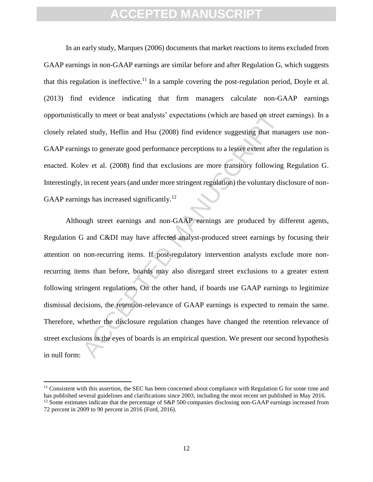In an early study, Marques (2006) documents that market reactions to items excluded from GAAP earnings in non-GAAP earnings are similar before and after Regulation G, which suggests that this regulation is ineffective.<sup>11</sup> In a sample covering the post-regulation period, Doyle et al. (2013) find evidence indicating that firm managers calculate non-GAAP earnings opportunistically to meet or beat analysts' expectations (which are based on street earnings). In a closely related study, Heflin and Hsu (2008) find evidence suggesting that managers use non-GAAP earnings to generate good performance perceptions to a lesser extent after the regulation is enacted. Kolev et al. (2008) find that exclusions are more transitory following Regulation G. Interestingly, in recent years (and under more stringent regulation) the voluntary disclosure of non-GAAP earnings has increased significantly.<sup>12</sup>

ally to meet or beat analysts' expectations (which are based on street<br>ed sudy, Heflin and Hsu (2008) find evidence suggesting that man<br>gs to generate good performance perceptions to a lesser extent after t<br>lev et al. (200 Although street earnings and non-GAAP earnings are produced by different agents, Regulation G and C&DI may have affected analyst-produced street earnings by focusing their attention on non-recurring items. If post-regulatory intervention analysts exclude more nonrecurring items than before, boards may also disregard street exclusions to a greater extent following stringent regulations. On the other hand, if boards use GAAP earnings to legitimize dismissal decisions, the retention-relevance of GAAP earnings is expected to remain the same. Therefore, whether the disclosure regulation changes have changed the retention relevance of street exclusions in the eyes of boards is an empirical question. We present our second hypothesis in null form:

l

<sup>&</sup>lt;sup>11</sup> Consistent with this assertion, the SEC has been concerned about compliance with Regulation G for some time and has published several guidelines and clarifications since 2003, including the most recent set published in May 2016. <sup>12</sup> Some estimates indicate that the percentage of S&P 500 companies disclosing non-GAAP earnings increased from 72 percent in 2009 to 90 percent in 2016 (Ford, 2016).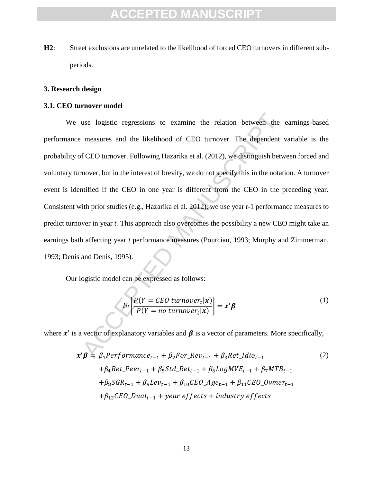**H2**: Street exclusions are unrelated to the likelihood of forced CEO turnovers in different subperiods.

#### **3. Research design**

#### **3.1. CEO turnover model**

use logistic regressions to examine the relation between the<br>measures and the likelihood of CEO turnover. The dependent<br>f CEO turnover. Following Hazarika et al. (2012), we distinguish between<br>mover, but in the interest o We use logistic regressions to examine the relation between the earnings-based performance measures and the likelihood of CEO turnover. The dependent variable is the probability of CEO turnover. Following Hazarika et al. (2012), we distinguish between forced and voluntary turnover, but in the interest of brevity, we do not specify this in the notation. A turnover event is identified if the CEO in one year is different from the CEO in the preceding year. Consistent with prior studies (e.g., Hazarika el al. 2012), we use year *t-*1 performance measures to predict turnover in year *t.* This approach also overcomes the possibility a new CEO might take an earnings bath affecting year *t* performance measures (Pourciau, 1993; Murphy and Zimmerman, 1993; Denis and Denis, 1995).

Our logistic model can be expressed as follows:

$$
ln\left[\frac{P(Y = CEO \ turn over_t | \mathbf{x})}{P(Y = no \ turn over_t | \mathbf{x})}\right] = \mathbf{x}'\boldsymbol{\beta}
$$
\n(1)

where  $x'$  is a vector of explanatory variables and  $\beta$  is a vector of parameters. More specifically,

$$
\mathbf{x}'\boldsymbol{\beta} = \beta_1 \text{Performance}_{t-1} + \beta_2 \text{For\_Rev}_{t-1} + \beta_3 \text{Ret\_ldio}_{t-1}
$$
\n
$$
+ \beta_4 \text{Ret\_Peer}_{t-1} + \beta_5 \text{Std\_Ret}_{t-1} + \beta_6 \text{LogMVE}_{t-1} + \beta_7 \text{MTB}_{t-1}
$$
\n
$$
+ \beta_8 \text{SGR}_{t-1} + \beta_9 \text{Lev}_{t-1} + \beta_{10} \text{CEO\_Age}_{t-1} + \beta_{11} \text{CEO\_Owner}_{t-1}
$$
\n
$$
+ \beta_{12} \text{CEO\_Dual}_{t-1} + \text{year effects} + \text{industry effects}
$$
\n(2)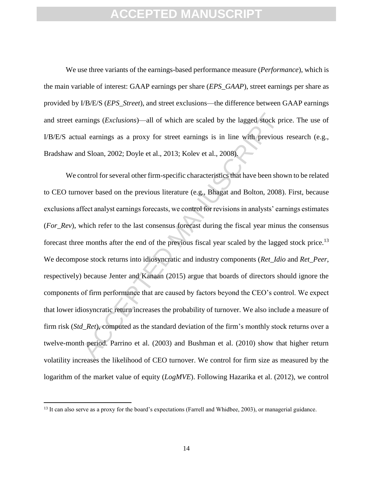We use three variants of the earnings-based performance measure (*Performance*), which is the main variable of interest: GAAP earnings per share (*EPS\_GAAP*), street earnings per share as provided by I/B/E/S (*EPS\_Street*), and street exclusions—the difference between GAAP earnings and street earnings (*Exclusions*)—all of which are scaled by the lagged stock price. The use of I/B/E/S actual earnings as a proxy for street earnings is in line with previous research (e.g., Bradshaw and Sloan, 2002; Doyle et al., 2013; Kolev et al., 2008).

mings (*Exclusions*)—all of which are scaled by the lagged stock pr<br>al earnings as a proxy for street earnings is in line with previous<br>d Sloan, 2002; Doyle et al., 2013; Kolev et al., 2008).<br>Ontrol for several other firm We control for several other firm-specific characteristics that have been shown to be related to CEO turnover based on the previous literature (e.g., Bhagat and Bolton, 2008). First, because exclusions affect analyst earnings forecasts, we control for revisions in analysts' earnings estimates (*For\_Rev*), which refer to the last consensus forecast during the fiscal year minus the consensus forecast three months after the end of the previous fiscal year scaled by the lagged stock price.<sup>13</sup> We decompose stock returns into idiosyncratic and industry components (*Ret\_Idio* and *Ret\_Peer*, respectively) because Jenter and Kanaan (2015) argue that boards of directors should ignore the components of firm performance that are caused by factors beyond the CEO's control. We expect that lower idiosyncratic return increases the probability of turnover. We also include a measure of firm risk (*Std\_Ret*), computed as the standard deviation of the firm's monthly stock returns over a twelve-month period. Parrino et al. (2003) and Bushman et al. (2010) show that higher return volatility increases the likelihood of CEO turnover. We control for firm size as measured by the logarithm of the market value of equity (*LogMVE*). Following Hazarika et al. (2012), we control

 $\overline{a}$ 

 $13$  It can also serve as a proxy for the board's expectations (Farrell and Whidbee, 2003), or managerial guidance.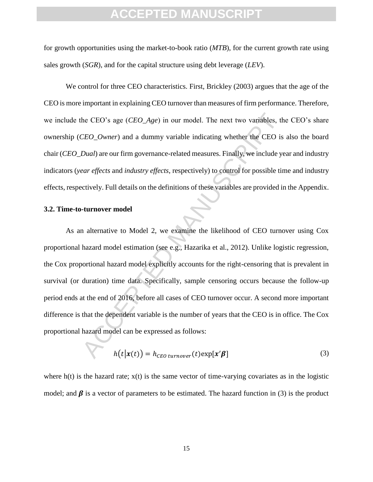for growth opportunities using the market-to-book ratio (*MTB*), for the current growth rate using sales growth (*SGR*), and for the capital structure using debt leverage (*LEV*).

We control for three CEO characteristics. First, Brickley (2003) argues that the age of the CEO is more important in explaining CEO turnover than measures of firm performance. Therefore, we include the CEO's age (*CEO\_Age*) in our model. The next two variables, the CEO's share ownership (*CEO\_Owner*) and a dummy variable indicating whether the CEO is also the board chair (*CEO\_Dual*) are our firm governance-related measures. Finally, we include year and industry indicators (*year effects* and *industry effects*, respectively) to control for possible time and industry effects, respectively. Full details on the definitions of these variables are provided in the Appendix.

#### **3.2. Time-to-turnover model**

the CEO's age (*CEO\_Age*) in our model. The next two variables, the CEO\_Owner) and a dummy variable indicating whether the CEO is *Dual*) are our firm governance-related measures. Finally, we include year effects and *ind* As an alternative to Model 2, we examine the likelihood of CEO turnover using Cox proportional hazard model estimation (see e.g., Hazarika et al., 2012). Unlike logistic regression, the Cox proportional hazard model explicitly accounts for the right-censoring that is prevalent in survival (or duration) time data. Specifically, sample censoring occurs because the follow-up period ends at the end of 2016, before all cases of CEO turnover occur. A second more important difference is that the dependent variable is the number of years that the CEO is in office. The Cox proportional hazard model can be expressed as follows:

$$
h(t|\mathbf{x}(t)) = h_{CEO\;turnover}(t) \exp[\mathbf{x}'\boldsymbol{\beta}]
$$
\n(3)

where  $h(t)$  is the hazard rate;  $x(t)$  is the same vector of time-varying covariates as in the logistic model; and  $\beta$  is a vector of parameters to be estimated. The hazard function in (3) is the product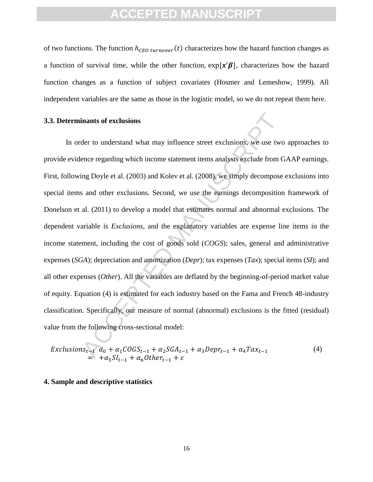of two functions. The function  $h_{\text{CEO turnover}}(t)$  characterizes how the hazard function changes as a function of survival time, while the other function,  $exp[x'\beta]$ , characterizes how the hazard function changes as a function of subject covariates (Hosmer and Lemeshow, 1999). All independent variables are the same as those in the logistic model, so we do not repeat them here.

#### **3.3. Determinants of exclusions**

the to understand what may influence street exclusions, we use two<br>there to understand what may influence street exclusions, we use two<br>ence regarding which income statement items analysts exclude from C<br>ing Doyle et al. In order to understand what may influence street exclusions, we use two approaches to provide evidence regarding which income statement items analysts exclude from GAAP earnings. First, following Doyle et al. (2003) and Kolev et al. (2008), we simply decompose exclusions into special items and other exclusions. Second, we use the earnings decomposition framework of Donelson et al. (2011) to develop a model that estimates normal and abnormal exclusions. The dependent variable is *Exclusions*, and the explanatory variables are expense line items in the income statement, including the cost of goods sold (*COGS*); sales, general and administrative expenses (*SGA*); depreciation and amortization (*Depr*); tax expenses (*Tax*); special items (*SI*); and all other expenses (*Other*). All the variables are deflated by the beginning-of-period market value of equity. Equation (4) is estimated for each industry based on the Fama and French 48-industry classification. Specifically, our measure of normal (abnormal) exclusions is the fitted (residual) value from the following cross-sectional model:

$$
Exclusions_{t-1} \alpha_0 + \alpha_1 COGS_{t-1} + \alpha_2 SGA_{t-1} + \alpha_3 Depr_{t-1} + \alpha_4 Tax_{t-1}
$$
  
=  $+\alpha_5 SI_{t-1} + \alpha_6 Other_{t-1} + \varepsilon$  (4)

#### **4. Sample and descriptive statistics**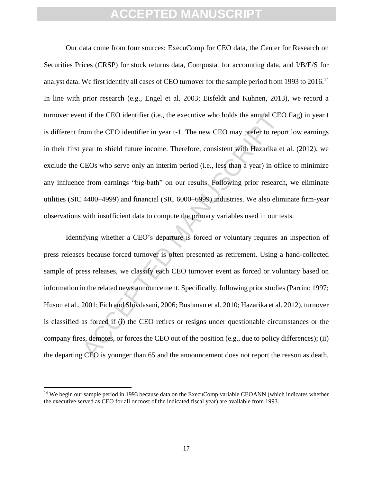Our data come from four sources: ExecuComp for CEO data, the Center for Research on Securities Prices (CRSP) for stock returns data, Compustat for accounting data, and I/B/E/S for analyst data. We first identify all cases of CEO turnover for the sample period from 1993 to 2016.<sup>14</sup> In line with prior research (e.g., Engel et al. 2003; Eisfeldt and Kuhnen, 2013), we record a turnover event if the CEO identifier (i.e., the executive who holds the annual CEO flag) in year t is different from the CEO identifier in year t-1. The new CEO may prefer to report low earnings in their first year to shield future income. Therefore, consistent with Hazarika et al. (2012), we exclude the CEOs who serve only an interim period (i.e., less than a year) in office to minimize any influence from earnings "big-bath" on our results. Following prior research, we eliminate utilities (SIC 4400–4999) and financial (SIC 6000–6999) industries. We also eliminate firm-year observations with insufficient data to compute the primary variables used in our tests.

In the CEO identifier (i.e., the executive who holds the annual CEO<br>
rom the CEO identifier in year t-1. The new CEO may prefer to repo<br>
year to shield future income. Therefore, consistent with Hazarika et<br>
CEOs who serve Identifying whether a CEO's departure is forced or voluntary requires an inspection of press releases because forced turnover is often presented as retirement. Using a hand-collected sample of press releases, we classify each CEO turnover event as forced or voluntary based on information in the related news announcement. Specifically, following prior studies (Parrino 1997; Huson et al., 2001; Fich and Shivdasani, 2006; Bushman et al. 2010; Hazarika et al. 2012), turnover is classified as forced if (i) the CEO retires or resigns under questionable circumstances or the company fires, demotes, or forces the CEO out of the position (e.g., due to policy differences); (ii) the departing CEO is younger than 65 and the announcement does not report the reason as death,

 $\overline{\phantom{a}}$ 

<sup>&</sup>lt;sup>14</sup> We begin our sample period in 1993 because data on the ExecuComp variable CEOANN (which indicates whether the executive served as CEO for all or most of the indicated fiscal year) are available from 1993.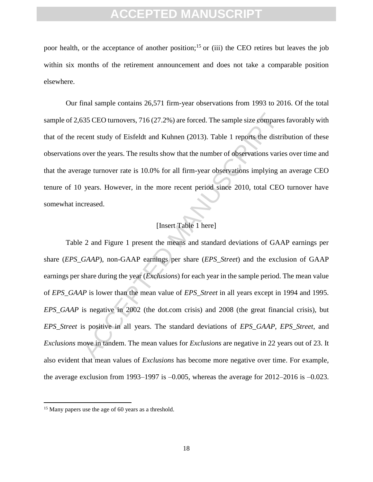poor health, or the acceptance of another position;<sup>15</sup> or (iii) the CEO retires but leaves the job within six months of the retirement announcement and does not take a comparable position elsewhere.

Our final sample contains 26,571 firm-year observations from 1993 to 2016. Of the total sample of 2,635 CEO turnovers, 716 (27.2%) are forced. The sample size compares favorably with that of the recent study of Eisfeldt and Kuhnen (2013). Table 1 reports the distribution of these observations over the years. The results show that the number of observations varies over time and that the average turnover rate is 10.0% for all firm-year observations implying an average CEO tenure of 10 years. However, in the more recent period since 2010, total CEO turnover have somewhat increased.

### [Insert Table 1 here]

S35 CEO turnovers, 716 (27.2%) are forced. The sample size compares<br>
ecent study of Eisfeldt and Kuhnen (2013). Table 1 reports the distri<br>
over the years. The results show that the number of observations varies<br>
age turn Table 2 and Figure 1 present the means and standard deviations of GAAP earnings per share (*EPS\_GAAP*), non-GAAP earnings per share (*EPS\_Street*) and the exclusion of GAAP earnings per share during the year (*Exclusions*) for each year in the sample period. The mean value of *EPS\_GAAP* is lower than the mean value of *EPS\_Street* in all years except in 1994 and 1995. *EPS* GAAP is negative in 2002 (the dot.com crisis) and 2008 (the great financial crisis), but *EPS\_Street* is positive in all years. The standard deviations of *EPS\_GAAP*, *EPS\_Street*, and *Exclusions* move in tandem. The mean values for *Exclusions* are negative in 22 years out of 23. It also evident that mean values of *Exclusions* has become more negative over time. For example, the average exclusion from 1993–1997 is  $-0.005$ , whereas the average for 2012–2016 is  $-0.023$ .

 $\overline{a}$ 

<sup>&</sup>lt;sup>15</sup> Many papers use the age of 60 years as a threshold.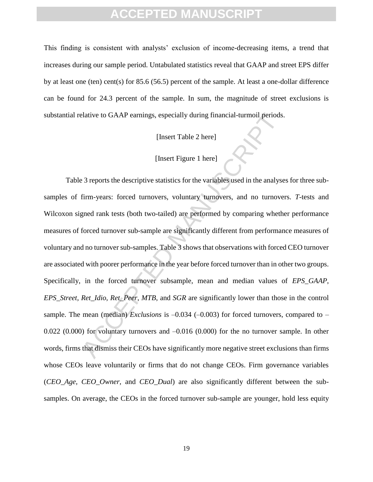This finding is consistent with analysts' exclusion of income-decreasing items, a trend that increases during our sample period. Untabulated statistics reveal that GAAP and street EPS differ by at least one (ten) cent(s) for 85.6 (56.5) percent of the sample. At least a one-dollar difference can be found for 24.3 percent of the sample. In sum, the magnitude of street exclusions is substantial relative to GAAP earnings, especially during financial-turmoil periods.

[Insert Table 2 here]

### [Insert Figure 1 here]

expective to GAAP earnings, especially during financial-turnoil periods<br>
[Insert Table 2 here]<br>
[Insert Figure 1 here]<br>
3 reports the descriptive statistics for the variables used in the analyse<br>
firm-years: forced turnove Table 3 reports the descriptive statistics for the variables used in the analyses for three subsamples of firm-years: forced turnovers, voluntary turnovers, and no turnovers. *T-*tests and Wilcoxon signed rank tests (both two-tailed) are performed by comparing whether performance measures of forced turnover sub-sample are significantly different from performance measures of voluntary and no turnover sub-samples. Table 3 shows that observations with forced CEO turnover are associated with poorer performance in the year before forced turnover than in other two groups. Specifically, in the forced turnover subsample, mean and median values of *EPS\_GAAP*, *EPS\_Street, Ret\_Idio*, *Ret\_Peer*, *MTB*, and *SGR* are significantly lower than those in the control sample. The mean (median) *Exclusions* is  $-0.034$  ( $-0.003$ ) for forced turnovers, compared to – 0.022 (0.000) for voluntary turnovers and –0.016 (0.000) for the no turnover sample. In other words, firms that dismiss their CEOs have significantly more negative street exclusions than firms whose CEOs leave voluntarily or firms that do not change CEOs. Firm governance variables (*CEO\_Age, CEO\_Owner,* and *CEO\_Dual*) are also significantly different between the subsamples. On average, the CEOs in the forced turnover sub-sample are younger, hold less equity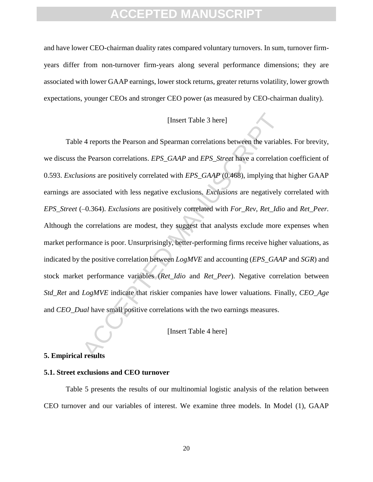and have lower CEO-chairman duality rates compared voluntary turnovers. In sum, turnover firmyears differ from non-turnover firm-years along several performance dimensions; they are associated with lower GAAP earnings, lower stock returns, greater returns volatility, lower growth expectations, younger CEOs and stronger CEO power (as measured by CEO-chairman duality).

### [Insert Table 3 here]

[Insert Table 3 here]<br>
24 reports the Pearson and Spearman correlations between the variable<br>
24 reports the Pearson correlations.  $EPS_GAAP$  and  $EPS_SIreet$  have a correlation<br>  $sions$  are positively correlated with  $EPS_GAAP$  (0.46 Table 4 reports the Pearson and Spearman correlations between the variables. For brevity, we discuss the Pearson correlations. *EPS\_GAAP* and *EPS*\_*Street* have a correlation coefficient of 0.593. *Exclusions* are positively correlated with *EPS\_GAAP* (0.468), implying that higher GAAP earnings are associated with less negative exclusions. *Exclusions* are negatively correlated with *EPS\_Street* (–0.364). *Exclusions* are positively correlated with *For\_Rev, Ret\_Idio* and *Ret\_Peer.* Although the correlations are modest, they suggest that analysts exclude more expenses when market performance is poor. Unsurprisingly, better-performing firms receive higher valuations, as indicated by the positive correlation between *LogMVE* and accounting (*EPS\_GAAP* and *SGR*) and stock market performance variables (*Ret\_Idio* and *Ret\_Peer*). Negative correlation between *Std\_Ret* and *LogMVE* indicate that riskier companies have lower valuations*.* Finally, *CEO\_Age* and *CEO\_Dual* have small positive correlations with the two earnings measures.

[Insert Table 4 here]

#### **5. Empirical results**

### **5.1. Street exclusions and CEO turnover**

Table 5 presents the results of our multinomial logistic analysis of the relation between CEO turnover and our variables of interest. We examine three models. In Model (1), GAAP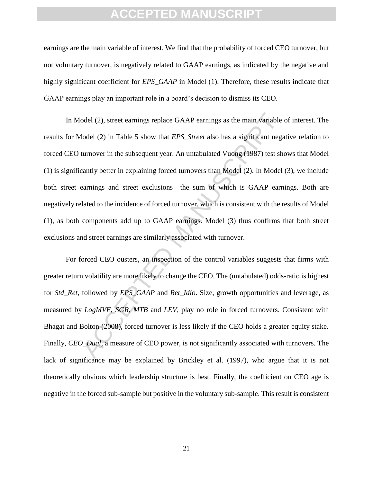earnings are the main variable of interest. We find that the probability of forced CEO turnover, but not voluntary turnover, is negatively related to GAAP earnings, as indicated by the negative and highly significant coefficient for *EPS* GAAP in Model (1). Therefore, these results indicate that GAAP earnings play an important role in a board's decision to dismiss its CEO.

odel (2), street earnings replace GAAP earnings as the main variable lodel (2) in Table 5 show that *EPS\_Street* also has a significant negation<br>turnover in the subsequent year. An untabulated Vuong (1987) test sheantly be In Model (2), street earnings replace GAAP earnings as the main variable of interest. The results for Model (2) in Table 5 show that *EPS\_Street* also has a significant negative relation to forced CEO turnover in the subsequent year. An untabulated Vuong (1987) test shows that Model (1) is significantly better in explaining forced turnovers than Model (2). In Model (3), we include both street earnings and street exclusions—the sum of which is GAAP earnings. Both are negatively related to the incidence of forced turnover, which is consistent with the results of Model (1), as both components add up to GAAP earnings. Model (3) thus confirms that both street exclusions and street earnings are similarly associated with turnover.

For forced CEO ousters, an inspection of the control variables suggests that firms with greater return volatility are more likely to change the CEO. The (untabulated) odds-ratio is highest for *Std\_Ret,* followed by *EPS\_GAAP* and *Ret\_Idio*. Size, growth opportunities and leverage, as measured by *LogMVE, SGR, MTB* and *LEV,* play no role in forced turnovers. Consistent with Bhagat and Bolton (2008), forced turnover is less likely if the CEO holds a greater equity stake. Finally, *CEO\_Dual*, a measure of CEO power, is not significantly associated with turnovers. The lack of significance may be explained by Brickley et al. (1997), who argue that it is not theoretically obvious which leadership structure is best. Finally, the coefficient on CEO age is negative in the forced sub-sample but positive in the voluntary sub-sample. This result is consistent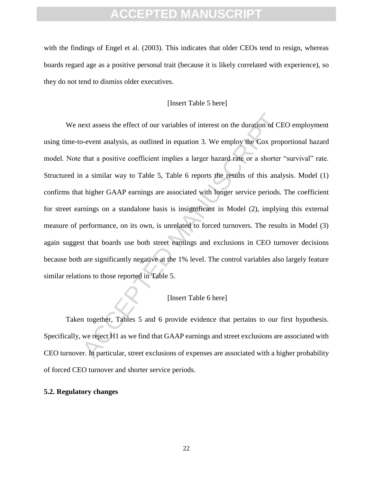with the findings of Engel et al. (2003). This indicates that older CEOs tend to resign, whereas boards regard age as a positive personal trait (because it is likely correlated with experience), so they do not tend to dismiss older executives.

### [Insert Table 5 here]

ext assess the effect of our variables of interest on the duration of CE<br>o-event analysis, as outlined in equation 3. We employ the Cox prop<br>that a positive coefficient implies a larger hazard rate or a shorter<br>in a simila We next assess the effect of our variables of interest on the duration of CEO employment using time-to-event analysis, as outlined in equation 3. We employ the Cox proportional hazard model. Note that a positive coefficient implies a larger hazard rate or a shorter "survival" rate. Structured in a similar way to Table 5, Table 6 reports the results of this analysis. Model (1) confirms that higher GAAP earnings are associated with longer service periods. The coefficient for street earnings on a standalone basis is insignificant in Model (2), implying this external measure of performance, on its own, is unrelated to forced turnovers. The results in Model (3) again suggest that boards use both street earnings and exclusions in CEO turnover decisions because both are significantly negative at the 1% level. The control variables also largely feature similar relations to those reported in Table 5.

### [Insert Table 6 here]

Taken together, Tables 5 and 6 provide evidence that pertains to our first hypothesis. Specifically, we reject H1 as we find that GAAP earnings and street exclusions are associated with CEO turnover. In particular, street exclusions of expenses are associated with a higher probability of forced CEO turnover and shorter service periods.

#### **5.2. Regulatory changes**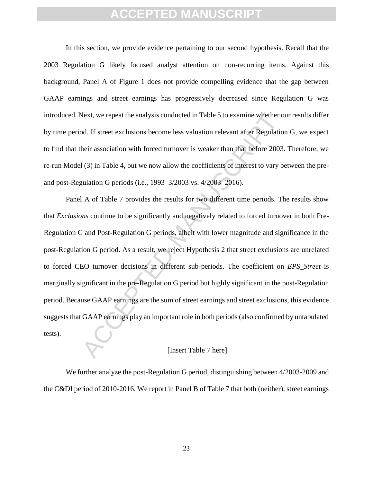In this section, we provide evidence pertaining to our second hypothesis. Recall that the 2003 Regulation G likely focused analyst attention on non-recurring items. Against this background, Panel A of Figure 1 does not provide compelling evidence that the gap between GAAP earnings and street earnings has progressively decreased since Regulation G was introduced. Next, we repeat the analysis conducted in Table 5 to examine whether our results differ by time period. If street exclusions become less valuation relevant after Regulation G, we expect to find that their association with forced turnover is weaker than that before 2003. Therefore, we re-run Model (3) in Table 4, but we now allow the coefficients of interest to vary between the preand post-Regulation G periods (i.e., 1993–3/2003 vs. 4/2003–2016).

Next, we repeat the analysis conducted in Table 5 to examine whether or dod. If street exclusions become less valuation relevant after Regulation heir association with forced turnover is weaker than that before 2003 (3) in Panel A of Table 7 provides the results for two different time periods. The results show that *Exclusions* continue to be significantly and negatively related to forced turnover in both Pre-Regulation G and Post-Regulation G periods, albeit with lower magnitude and significance in the post-Regulation G period. As a result, we reject Hypothesis 2 that street exclusions are unrelated to forced CEO turnover decisions in different sub-periods. The coefficient on *EPS\_Street* is marginally significant in the pre-Regulation G period but highly significant in the post-Regulation period. Because GAAP earnings are the sum of street earnings and street exclusions, this evidence suggests that GAAP earnings play an important role in both periods (also confirmed by untabulated tests).

#### [Insert Table 7 here]

We further analyze the post-Regulation G period, distinguishing between 4/2003-2009 and the C&DI period of 2010-2016. We report in Panel B of Table 7 that both (neither), street earnings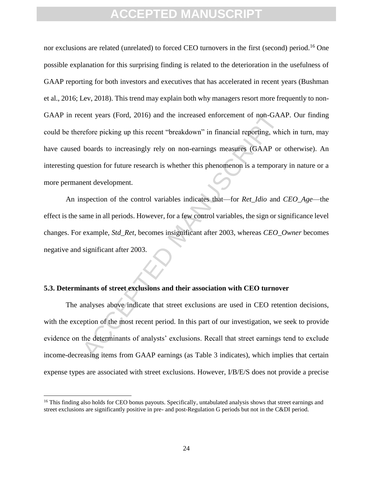cent years (Ford, 2016) and the increased enforcement of non-GAA<br>refore picking up this recent "breakdown" in financial reporting, whi<br>boards to increasingly rely on non-earnings measures (GAAP or<br>uestion for future resear nor exclusions are related (unrelated) to forced CEO turnovers in the first (second) period.<sup>16</sup> One possible explanation for this surprising finding is related to the deterioration in the usefulness of GAAP reporting for both investors and executives that has accelerated in recent years (Bushman et al., 2016; Lev, 2018). This trend may explain both why managers resort more frequently to non-GAAP in recent years (Ford, 2016) and the increased enforcement of non-GAAP. Our finding could be therefore picking up this recent "breakdown" in financial reporting, which in turn, may have caused boards to increasingly rely on non-earnings measures (GAAP or otherwise). An interesting question for future research is whether this phenomenon is a temporary in nature or a more permanent development.

An inspection of the control variables indicates that—for *Ret\_Idio* and *CEO\_Age*—the effect is the same in all periods. However, for a few control variables, the sign or significance level changes. For example, *Std\_Ret*, becomes insignificant after 2003, whereas *CEO\_Owner* becomes negative and significant after 2003.

### **5.3. Determinants of street exclusions and their association with CEO turnover**

The analyses above indicate that street exclusions are used in CEO retention decisions, with the exception of the most recent period. In this part of our investigation, we seek to provide evidence on the determinants of analysts' exclusions. Recall that street earnings tend to exclude income-decreasing items from GAAP earnings (as Table 3 indicates), which implies that certain expense types are associated with street exclusions. However, I/B/E/S does not provide a precise

 $\overline{\phantom{a}}$ 

<sup>&</sup>lt;sup>16</sup> This finding also holds for CEO bonus payouts. Specifically, untabulated analysis shows that street earnings and street exclusions are significantly positive in pre- and post-Regulation G periods but not in the C&DI period.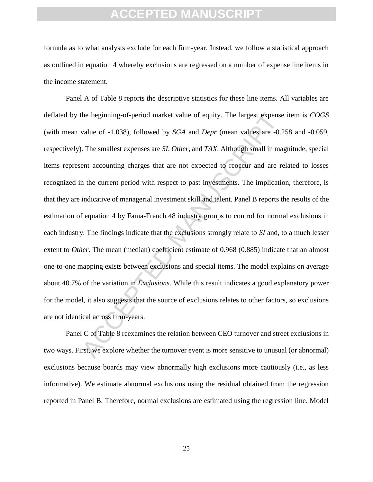formula as to what analysts exclude for each firm-year. Instead, we follow a statistical approach as outlined in equation 4 whereby exclusions are regressed on a number of expense line items in the income statement.

the beginning-of-period market value of equity. The largest expenses<br>value of -1.038), followed by *SGA* and *Depr* (mean values are -0.2<br>The smallest expenses are *SI*, *Other*, and *TAX*. Although small in ma<br>ent account Panel A of Table 8 reports the descriptive statistics for these line items. All variables are deflated by the beginning-of-period market value of equity. The largest expense item is *COGS*  (with mean value of -1.038), followed by *SGA* and *Depr* (mean values are -0.258 and -0.059, respectively). The smallest expenses are *SI*, *Other*, and *TAX*. Although small in magnitude, special items represent accounting charges that are not expected to reoccur and are related to losses recognized in the current period with respect to past investments. The implication, therefore, is that they are indicative of managerial investment skill and talent. Panel B reports the results of the estimation of equation 4 by Fama-French 48 industry groups to control for normal exclusions in each industry. The findings indicate that the exclusions strongly relate to *SI* and, to a much lesser extent to *Other*. The mean (median) coefficient estimate of 0.968 (0.885) indicate that an almost one-to-one mapping exists between exclusions and special items. The model explains on average about 40.7% of the variation in *Exclusions*. While this result indicates a good explanatory power for the model, it also suggests that the source of exclusions relates to other factors, so exclusions are not identical across firm-years.

Panel C of Table 8 reexamines the relation between CEO turnover and street exclusions in two ways. First, we explore whether the turnover event is more sensitive to unusual (or abnormal) exclusions because boards may view abnormally high exclusions more cautiously (i.e., as less informative). We estimate abnormal exclusions using the residual obtained from the regression reported in Panel B. Therefore, normal exclusions are estimated using the regression line. Model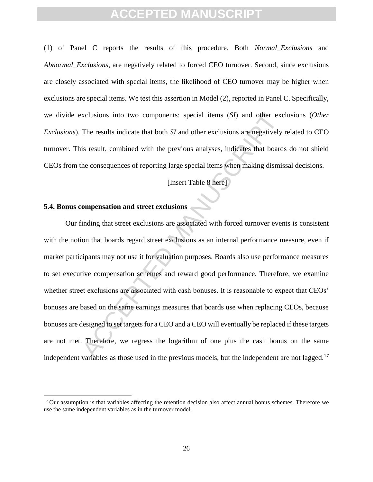(1) of Panel C reports the results of this procedure. Both *Normal\_Exclusions* and *Abnormal\_Exclusions,* are negatively related to forced CEO turnover. Second, since exclusions are closely associated with special items, the likelihood of CEO turnover may be higher when exclusions are special items. We test this assertion in Model (2), reported in Panel C. Specifically, we divide exclusions into two components: special items (*SI*) and other exclusions (*Other Exclusions*). The results indicate that both *SI* and other exclusions are negatively related to CEO turnover. This result, combined with the previous analyses, indicates that boards do not shield CEOs from the consequences of reporting large special items when making dismissal decisions.

[Insert Table 8 here]

### **5.4. Bonus compensation and street exclusions**

 $\overline{\phantom{a}}$ 

xclusions into two components: special items (*SI*) and other exc<br>The results indicate that both *SI* and other exclusions are negatively<br>is result, combined with the previous analyses, indicates that board<br>he consequences Our finding that street exclusions are associated with forced turnover events is consistent with the notion that boards regard street exclusions as an internal performance measure, even if market participants may not use it for valuation purposes. Boards also use performance measures to set executive compensation schemes and reward good performance. Therefore, we examine whether street exclusions are associated with cash bonuses. It is reasonable to expect that CEOs' bonuses are based on the same earnings measures that boards use when replacing CEOs, because bonuses are designed to set targets for a CEO and a CEO will eventually be replaced if these targets are not met. Therefore, we regress the logarithm of one plus the cash bonus on the same independent variables as those used in the previous models, but the independent are not lagged.<sup>17</sup>

 $17$  Our assumption is that variables affecting the retention decision also affect annual bonus schemes. Therefore we use the same independent variables as in the turnover model.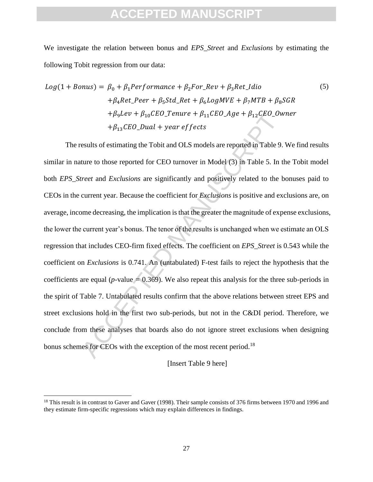We investigate the relation between bonus and *EPS*\_*Street* and *Exclusions* by estimating the following Tobit regression from our data:

$$
Log(1 + Bonus) = \beta_0 + \beta_1 Performance + \beta_2 For\_Rev + \beta_3 Ret\_Idio
$$
\n
$$
+ \beta_4 Ret\_Per + \beta_5 Std\_Ret + \beta_6 LogMVE + \beta_7 MTB + \beta_8 SGR
$$
\n
$$
+ \beta_9 Lev + \beta_{10} CEO\_Tenure + \beta_{11} CEO\_Age + \beta_{12} CEO\_Owner
$$
\n
$$
+ \beta_{13} CEO\_Dual + year \, effects
$$
\n(5)

 $+ \beta_5 Lev + \beta_{10} CEO\_Tenure + \beta_{11} CEO\_Age + \beta_{12} CEO\_Ow$ <br> $+ \beta_{13} CEO\_Dual + year$  *effects*<br>esults of estimating the Tobit and OLS models are reported in Table 9.<br>ture to those reported for CEO turnover in Model (3) in Table 5. In t<br>*ireet* The results of estimating the Tobit and OLS models are reported in Table 9. We find results similar in nature to those reported for CEO turnover in Model (3) in Table 5. In the Tobit model both *EPS\_Street* and *Exclusions* are significantly and positively related to the bonuses paid to CEOs in the current year. Because the coefficient for *Exclusions* is positive and exclusions are, on average, income decreasing, the implication is that the greater the magnitude of expense exclusions, the lower the current year's bonus. The tenor of the results is unchanged when we estimate an OLS regression that includes CEO-firm fixed effects. The coefficient on *EPS\_Street* is 0.543 while the coefficient on *Exclusions* is 0.741. An (untabulated) F-test fails to reject the hypothesis that the coefficients are equal ( $p$ -value  $= 0.369$ ). We also repeat this analysis for the three sub-periods in the spirit of Table 7. Untabulated results confirm that the above relations between street EPS and street exclusions hold in the first two sub-periods, but not in the C&DI period. Therefore, we conclude from these analyses that boards also do not ignore street exclusions when designing bonus schemes for CEOs with the exception of the most recent period.<sup>18</sup>

[Insert Table 9 here]

 $\overline{\phantom{a}}$ 

<sup>&</sup>lt;sup>18</sup> This result is in contrast to Gaver and Gaver (1998). Their sample consists of 376 firms between 1970 and 1996 and they estimate firm-specific regressions which may explain differences in findings.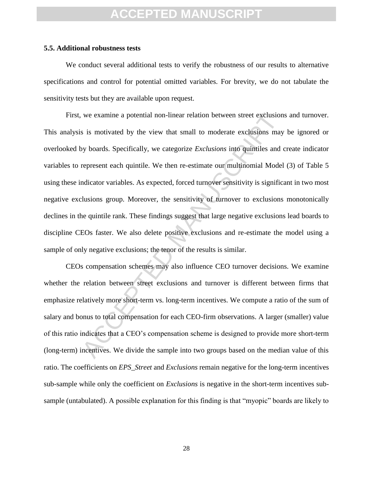#### **5.5. Additional robustness tests**

We conduct several additional tests to verify the robustness of our results to alternative specifications and control for potential omitted variables. For brevity, we do not tabulate the sensitivity tests but they are available upon request.

we examine a potential non-linear relation between street exclusion<br>s is motivated by the view that small to moderate exclusions may<br>y boards. Specifically, we categorize *Exclusions* into quintiles and represent each quin First, we examine a potential non-linear relation between street exclusions and turnover. This analysis is motivated by the view that small to moderate exclusions may be ignored or overlooked by boards. Specifically, we categorize *Exclusions* into quintiles and create indicator variables to represent each quintile. We then re-estimate our multinomial Model (3) of Table 5 using these indicator variables. As expected, forced turnover sensitivity is significant in two most negative exclusions group. Moreover, the sensitivity of turnover to exclusions monotonically declines in the quintile rank. These findings suggest that large negative exclusions lead boards to discipline CEOs faster. We also delete positive exclusions and re-estimate the model using a sample of only negative exclusions; the tenor of the results is similar.

CEOs compensation schemes may also influence CEO turnover decisions. We examine whether the relation between street exclusions and turnover is different between firms that emphasize relatively more short-term vs. long-term incentives. We compute a ratio of the sum of salary and bonus to total compensation for each CEO-firm observations. A larger (smaller) value of this ratio indicates that a CEO's compensation scheme is designed to provide more short-term (long-term) incentives. We divide the sample into two groups based on the median value of this ratio. The coefficients on *EPS*\_*Street* and *Exclusions* remain negative for the long-term incentives sub-sample while only the coefficient on *Exclusions* is negative in the short-term incentives subsample (untabulated). A possible explanation for this finding is that "myopic" boards are likely to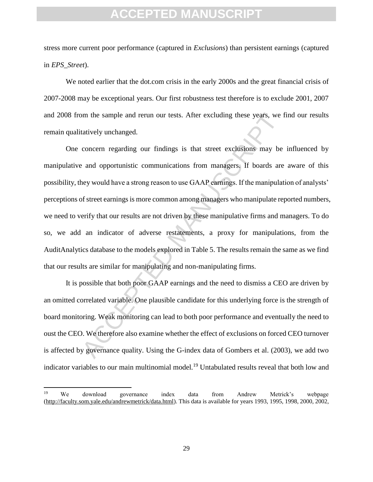stress more current poor performance (captured in *Exclusions*) than persistent earnings (captured in *EPS*\_*Street*).

We noted earlier that the dot.com crisis in the early 2000s and the great financial crisis of 2007-2008 may be exceptional years. Our first robustness test therefore is to exclude 2001, 2007 and 2008 from the sample and rerun our tests. After excluding these years, we find our results remain qualitatively unchanged.

m the sample and rerun our tests. After excluding these years, we a<br>tatively unchanged.<br>concern regarding our findings is that street exclusions may be<br>eard opportunistic communications from managers. If boards are<br>ney wou One concern regarding our findings is that street exclusions may be influenced by manipulative and opportunistic communications from managers. If boards are aware of this possibility, they would have a strong reason to use GAAP earnings. If the manipulation of analysts' perceptions of street earnings is more common among managers who manipulate reported numbers, we need to verify that our results are not driven by these manipulative firms and managers. To do so, we add an indicator of adverse restatements, a proxy for manipulations, from the AuditAnalytics database to the models explored in Table 5. The results remain the same as we find that our results are similar for manipulating and non-manipulating firms.

It is possible that both poor GAAP earnings and the need to dismiss a CEO are driven by an omitted correlated variable. One plausible candidate for this underlying force is the strength of board monitoring. Weak monitoring can lead to both poor performance and eventually the need to oust the CEO. We therefore also examine whether the effect of exclusions on forced CEO turnover is affected by governance quality. Using the G-index data of Gombers et al. (2003), we add two indicator variables to our main multinomial model.<sup>19</sup> Untabulated results reveal that both low and

 $\overline{\phantom{a}}$ 

<sup>&</sup>lt;sup>19</sup> We download governance index data from Andrew Metrick's webpage [\(http://faculty.som.yale.edu/andrewmetrick/data.html\)](http://faculty.som.yale.edu/andrewmetrick/data.html). This data is available for years 1993, 1995, 1998, 2000, 2002,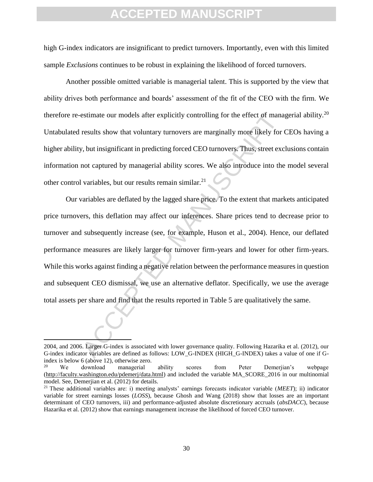high G-index indicators are insignificant to predict turnovers. Importantly, even with this limited sample *Exclusions* continues to be robust in explaining the likelihood of forced turnovers.

Another possible omitted variable is managerial talent. This is supported by the view that ability drives both performance and boards' assessment of the fit of the CEO with the firm. We therefore re-estimate our models after explicitly controlling for the effect of managerial ability.<sup>20</sup> Untabulated results show that voluntary turnovers are marginally more likely for CEOs having a higher ability, but insignificant in predicting forced CEO turnovers. Thus, street exclusions contain information not captured by managerial ability scores. We also introduce into the model several other control variables, but our results remain similar.<sup>21</sup>

estimate our models after explicitly controlling for the effect of mana<br>results show that voluntary turnovers are marginally more likely for<br>r, but insignificant in predicting forced CEO turnovers. Thus, street exe<br>not cap Our variables are deflated by the lagged share price. To the extent that markets anticipated price turnovers, this deflation may affect our inferences. Share prices tend to decrease prior to turnover and subsequently increase (see, for example, Huson et al., 2004). Hence, our deflated performance measures are likely larger for turnover firm-years and lower for other firm-years. While this works against finding a negative relation between the performance measures in question and subsequent CEO dismissal, we use an alternative deflator. Specifically, we use the average total assets per share and find that the results reported in Table 5 are qualitatively the same.

l

<sup>2004,</sup> and 2006. Larger G-index is associated with lower governance quality. Following Hazarika et al. (2012), our G-index indicator variables are defined as follows: LOW\_G-INDEX (HIGH\_G-INDEX) takes a value of one if Gindex is below 6 (above 12), otherwise zero.

<sup>&</sup>lt;sup>20</sup> We download managerial ability scores from Peter Demerjian's webpage [\(http://faculty.washington.edu/pdemerj/data.html\)](http://faculty.washington.edu/pdemerj/data.html) and included the variable MA\_SCORE\_2016 in our multinomial model. See, Demerjian et al. (2012) for details.

<sup>21</sup> These additional variables are: i) meeting analysts' earnings forecasts indicator variable (*MEET*); ii) indicator variable for street earnings losses (*LOSS*), because Ghosh and Wang (2018) show that losses are an important determinant of CEO turnovers, iii) and performance-adjusted absolute discretionary accruals (*absDACC*), because Hazarika et al. (2012) show that earnings management increase the likelihood of forced CEO turnover.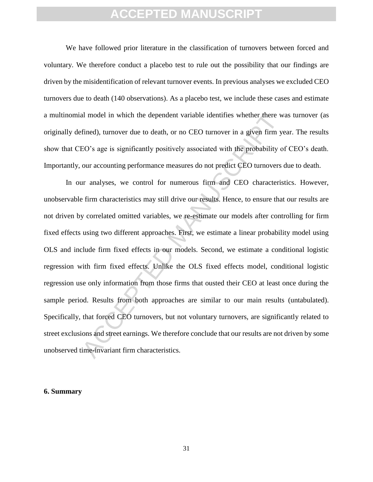We have followed prior literature in the classification of turnovers between forced and voluntary. We therefore conduct a placebo test to rule out the possibility that our findings are driven by the misidentification of relevant turnover events. In previous analyses we excluded CEO turnovers due to death (140 observations). As a placebo test, we include these cases and estimate a multinomial model in which the dependent variable identifies whether there was turnover (as originally defined), turnover due to death, or no CEO turnover in a given firm year. The results show that CEO's age is significantly positively associated with the probability of CEO's death. Importantly, our accounting performance measures do not predict CEO turnovers due to death.

al model in which the dependent variable identifies whether there w<br>fined), turnover due to death, or no CEO turnover in a given firm ye<br>field for the set of the set of the probability of<br>exacts are is significantly positi In our analyses, we control for numerous firm and CEO characteristics. However, unobservable firm characteristics may still drive our results. Hence, to ensure that our results are not driven by correlated omitted variables, we re-estimate our models after controlling for firm fixed effects using two different approaches. First, we estimate a linear probability model using OLS and include firm fixed effects in our models. Second, we estimate a conditional logistic regression with firm fixed effects. Unlike the OLS fixed effects model, conditional logistic regression use only information from those firms that ousted their CEO at least once during the sample period. Results from both approaches are similar to our main results (untabulated). Specifically, that forced CEO turnovers, but not voluntary turnovers, are significantly related to street exclusions and street earnings. We therefore conclude that our results are not driven by some unobserved time-invariant firm characteristics.

#### **6. Summary**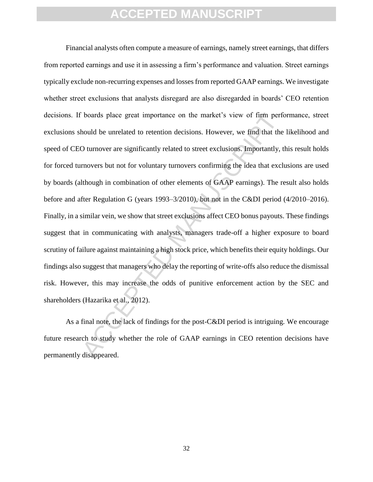boards place great importance on the market's view of firm performed be unrelated to retention decisions. However, we find that the D urnover are significantly related to street exclusions. Importantly, the Universe but no Financial analysts often compute a measure of earnings, namely street earnings, that differs from reported earnings and use it in assessing a firm's performance and valuation. Street earnings typically exclude non-recurring expenses and losses from reported GAAP earnings. We investigate whether street exclusions that analysts disregard are also disregarded in boards' CEO retention decisions. If boards place great importance on the market's view of firm performance, street exclusions should be unrelated to retention decisions. However, we find that the likelihood and speed of CEO turnover are significantly related to street exclusions. Importantly, this result holds for forced turnovers but not for voluntary turnovers confirming the idea that exclusions are used by boards (although in combination of other elements of GAAP earnings). The result also holds before and after Regulation G (years 1993–3/2010), but not in the C&DI period (4/2010–2016). Finally, in a similar vein, we show that street exclusions affect CEO bonus payouts. These findings suggest that in communicating with analysts, managers trade-off a higher exposure to board scrutiny of failure against maintaining a high stock price, which benefits their equity holdings. Our findings also suggest that managers who delay the reporting of write-offs also reduce the dismissal risk. However, this may increase the odds of punitive enforcement action by the SEC and shareholders (Hazarika et al., 2012).

As a final note, the lack of findings for the post-C&DI period is intriguing. We encourage future research to study whether the role of GAAP earnings in CEO retention decisions have permanently disappeared.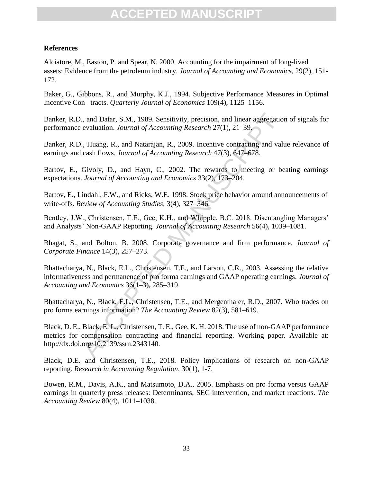### **References**

Alciatore, M., Easton, P. and Spear, N. 2000. Accounting for the impairment of long-lived assets: Evidence from the petroleum industry. *Journal of Accounting and Economics*, 29(2), 151- 172.

Baker, G., Gibbons, R., and Murphy, K.J., 1994. Subjective Performance Measures in Optimal Incentive Con– tracts. *Quarterly Journal of Economics* 109(4), 1125–1156.

Banker, R.D., and Datar, S.M., 1989. Sensitivity, precision, and linear aggregation of signals for performance evaluation. *Journal of Accounting Research* 27(1), 21–39.

Banker, R.D., Huang, R., and Natarajan, R., 2009. Incentive contracting and value relevance of earnings and cash flows. *Journal of Accounting Research* 47(3), 647–678.

Bartov, E., Givoly, D., and Hayn, C., 2002. The rewards to meeting or beating earnings expectations. *Journal of Accounting and Economics* 33(2), 173–204.

Bartov, E., Lindahl, F.W., and Ricks, W.E. 1998. Stock price behavior around announcements of write-offs. *Review of Accounting Studies*, 3(4), 327–346.

Bentley, J.W., Christensen, T.E., Gee, K.H., and Whipple, B.C. 2018. Disentangling Managers' and Analysts' Non-GAAP Reporting. *Journal of Accounting Research* 56(4), 1039–1081.

Bhagat, S., and Bolton, B. 2008. Corporate governance and firm performance. *Journal of Corporate Finance* 14(3), 257–273.

., and Datar, S.M., 1989. Sensitivity, precision, and linear aggregatio evaluation. *Journal of Accounting Research* 27(1), 21–39.<br>
., Huang, R., and Natarajan, R., 2009. Incentive contracting and values and flows. *Journa* Bhattacharya, N., Black, E.L., Christensen, T.E., and Larson, C.R., 2003. Assessing the relative informativeness and permanence of pro forma earnings and GAAP operating earnings. *Journal of Accounting and Economics* 36(1–3), 285–319.

Bhattacharya, N., Black, E.L., Christensen, T.E., and Mergenthaler, R.D., 2007. Who trades on pro forma earnings information? *The Accounting Review* 82(3), 581–619.

Black, D. E., Black, E. L., Christensen, T. E., Gee, K. H. 2018. The use of non-GAAP performance metrics for compensation contracting and financial reporting. Working paper. Available at: http://dx.doi.org/10.2139/ssrn.2343140.

Black, D.E. and Christensen, T.E., 2018. Policy implications of research on non-GAAP reporting. *Research in Accounting Regulation*, 30(1), 1-7.

Bowen, R.M., Davis, A.K., and Matsumoto, D.A., 2005. Emphasis on pro forma versus GAAP earnings in quarterly press releases: Determinants, SEC intervention, and market reactions. *The Accounting Review* 80(4), 1011–1038.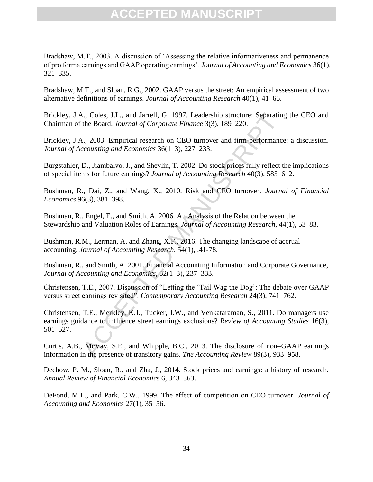Bradshaw, M.T., 2003. A discussion of 'Assessing the relative informativeness and permanence of pro forma earnings and GAAP operating earnings'. *Journal of Accounting and Economics* 36(1), 321–335.

Bradshaw, M.T., and Sloan, R.G., 2002. GAAP versus the street: An empirical assessment of two alternative definitions of earnings. *Journal of Accounting Research* 40(1), 41–66.

Brickley, J.A., Coles, J.L., and Jarrell, G. 1997. Leadership structure: Separating the CEO and Chairman of the Board. *Journal of Corporate Finance* 3(3), 189–220.

Brickley, J.A., 2003. Empirical research on CEO turnover and firm-performance: a discussion. *Journal of Accounting and Economics* 36(1–3), 227–233.

Burgstahler, D., Jiambalvo, J., and Shevlin, T. 2002. Do stock prices fully reflect the implications of special items for future earnings? *Journal of Accounting Research* 40(3), 585–612.

Bushman, R., Dai, Z., and Wang, X., 2010. Risk and CEO turnover. *Journal of Financial Economics* 96(3), 381–398.

Bushman, R., Engel, E., and Smith, A. 2006. An Analysis of the Relation between the Stewardship and Valuation Roles of Earnings. *Journal of Accounting Research*, 44(1), 53–83.

Bushman, R.M., Lerman, A. and Zhang, X.F., 2016. The changing landscape of accrual accounting. *Journal of Accounting Research*, 54(1), .41-78.

Bushman, R., and Smith, A. 2001. Financial Accounting Information and Corporate Governance, *Journal of Accounting and Economics*, 32(1–3), 237–333.

Christensen, T.E., 2007. Discussion of "Letting the 'Tail Wag the Dog': The debate over GAAP versus street earnings revisited". *Contemporary Accounting Research* 24(3), 741–762.

λ., Coles, J.L., and Jarrell, G. 1997. Leadership structure: Separating<br>the Board. Journal of Corporate Finance 3(3), 189–220.<br>A., 2003. Empirical research on CEO turnover and firm-performance<br>ccounting and Economics 36(1 Christensen, T.E., Merkley, K.J., Tucker, J.W., and Venkataraman, S., 2011. Do managers use earnings guidance to influence street earnings exclusions? *Review of Accounting Studies* 16(3), 501–527.

Curtis, A.B., McVay, S.E., and Whipple, B.C., 2013. The disclosure of non–GAAP earnings information in the presence of transitory gains. *The Accounting Review* 89(3), 933–958.

Dechow, P. M., Sloan, R., and Zha, J., 2014. Stock prices and earnings: a history of research. *Annual Review of Financial Economics* 6, 343–363.

DeFond, M.L., and Park, C.W., 1999. The effect of competition on CEO turnover. *Journal of Accounting and Economics* 27(1), 35–56.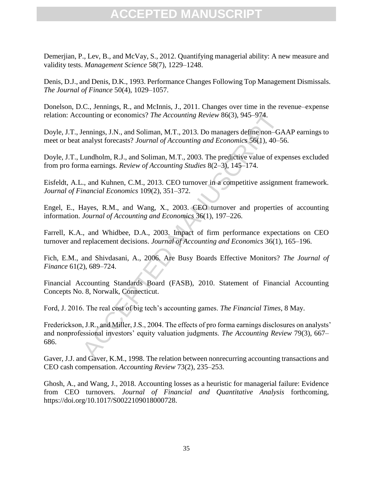Demerjian, P., Lev, B., and McVay, S., 2012. Quantifying managerial ability: A new measure and validity tests. *Management Science* 58(7), 1229–1248.

Denis, D.J., and Denis, D.K., 1993. Performance Changes Following Top Management Dismissals. *The Journal of Finance* 50(4), 1029–1057.

Donelson, D.C., Jennings, R., and McInnis, J., 2011. Changes over time in the revenue–expense relation: Accounting or economics? *The Accounting Review* 86(3), 945–974.

Doyle, J.T., Jennings, J.N., and Soliman, M.T., 2013. Do managers define non–GAAP earnings to meet or beat analyst forecasts? *Journal of Accounting and Economics* 56(1), 40–56.

Doyle, J.T., Lundholm, R.J., and Soliman, M.T., 2003. The predictive value of expenses excluded from pro forma earnings. *Review of Accounting Studies* 8(2–3), 145–174.

Eisfeldt, A.L., and Kuhnen, C.M., 2013. CEO turnover in a competitive assignment framework. *Journal of Financial Economics* 109(2), 351–372.

Engel, E., Hayes, R.M., and Wang, X., 2003. CEO turnover and properties of accounting information. *Journal of Accounting and Economics* 36(1), 197–226.

Farrell, K.A., and Whidbee, D.A., 2003. Impact of firm performance expectations on CEO turnover and replacement decisions. *Journal of Accounting and Economics* 36(1), 165–196.

Fich, E.M., and Shivdasani, A., 2006. Are Busy Boards Effective Monitors? *The Journal of Finance* 61(2), 689–724.

Financial Accounting Standards Board (FASB), 2010. Statement of Financial Accounting Concepts No. 8, Norwalk, Connecticut.

Ford, J. 2016. The real cost of big tech's accounting games. *The Financial Times*, 8 May.

counting or economics? *The Accounting Review* 86(3), 945–974.<br>
Jennings, J.N., and Soliman, M.T., 2013. Do managers define non-GA<br>
analyst forecasts? Journal of Accounting and Economics 56(1), 40–5<br>
Lundholm, R.J., and So Frederickson, J.R., and Miller, J.S., 2004. The effects of pro forma earnings disclosures on analysts' and nonprofessional investors' equity valuation judgments. *The Accounting Review* 79(3), 667– 686.

Gaver, J.J. and Gaver, K.M., 1998. The relation between nonrecurring accounting transactions and CEO cash compensation. *Accounting Review* 73(2), 235–253.

Ghosh, A., and Wang, J., 2018. Accounting losses as a heuristic for managerial failure: Evidence from CEO turnovers. *Journal of Financial and Quantitative Analysis* forthcoming, https://doi.org/10.1017/S0022109018000728.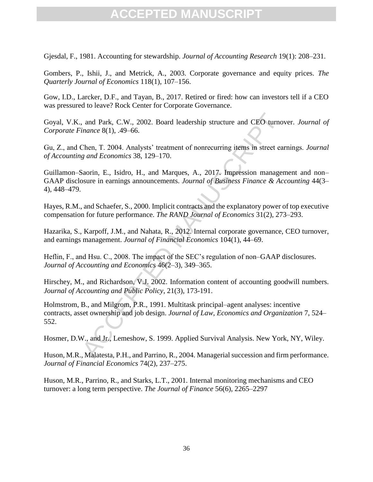Gjesdal, F., 1981. Accounting for stewardship. *Journal of Accounting Research* 19(1): 208–231.

Gombers, P., Ishii, J., and Metrick, A., 2003. Corporate governance and equity prices. *The Quarterly Journal of Economics* 118(1), 107–156.

Gow, I.D., Larcker, D.F., and Tayan, B., 2017. Retired or fired: how can investors tell if a CEO was pressured to leave? Rock Center for Corporate Governance.

Goyal, V.K., and Park, C.W., 2002. Board leadership structure and CEO turnover. *Journal of Corporate Finance* 8(1), .49–66.

Gu, Z., and Chen, T. 2004. Analysts' treatment of nonrecurring items in street earnings. *Journal of Accounting and Economics* 38, 129–170.

Guillamon–Saorin, E., Isidro, H., and Marques, A., 2017. Impression management and non– GAAP disclosure in earnings announcements. *Journal of Business Finance & Accounting* 44(3– 4), 448–479.

Hayes, R.M., and Schaefer, S., 2000. Implicit contracts and the explanatory power of top executive compensation for future performance. *The RAND Journal of Economics* 31(2), 273–293.

Hazarika, S., Karpoff, J.M., and Nahata, R., 2012. Internal corporate governance, CEO turnover, and earnings management. *Journal of Financial Economics* 104(1), 44–69.

Heflin, F., and Hsu. C., 2008. The impact of the SEC's regulation of non–GAAP disclosures. *Journal of Accounting and Economics* 46(2–3), 349–365.

Hirschey, M., and Richardson, V.J. 2002. Information content of accounting goodwill numbers. *Journal of Accounting and Public Policy*, 21(3), 173-191.

and Park, C.W., 2002. Board leadership structure and CEO turno<br>
inance 8(1), .49-66.<br>
Chen, T. 2004. Analysts' treatment of nonrecurring items in street ea<br> *g and Economics* 38, 129–170.<br>
Baorin, E., Isidro, H., and Marq Holmstrom, B., and Milgrom, P.R., 1991. Multitask principal–agent analyses: incentive contracts, asset ownership and job design. *Journal of Law, Economics and Organization* 7, 524– 552.

Hosmer, D.W., and Jr., Lemeshow, S. 1999. Applied Survival Analysis. New York, NY, Wiley.

Huson, M.R., Malatesta, P.H., and Parrino, R., 2004. Managerial succession and firm performance. *Journal of Financial Economics* 74(2), 237–275.

Huson, M.R., Parrino, R., and Starks, L.T., 2001. Internal monitoring mechanisms and CEO turnover: a long term perspective. *The Journal of Finance* 56(6), 2265–2297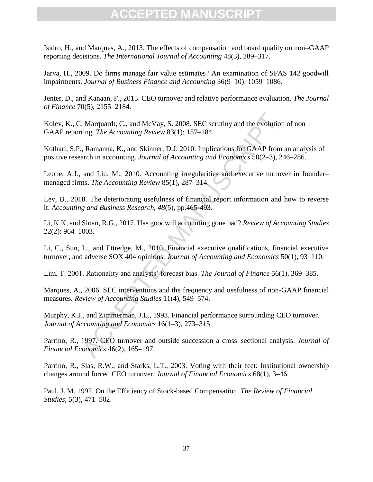Isidro, H., and Marques, A., 2013. The effects of compensation and board quality on non–GAAP reporting decisions. *The International Journal of Accounting* 48(3), 289–317.

Jarva, H., 2009. Do firms manage fair value estimates? An examination of SFAS 142 goodwill impairments. *Journal of Business Finance and Accounting* 36(9–10): 1059–1086.

Jenter, D., and Kanaan, F., 2015. CEO turnover and relative performance evaluation. *The Journal of Finance* 70(5), 2155–2184.

Kolev, K., C. Marquardt, C., and McVay, S. 2008. SEC scrutiny and the evolution of non– GAAP reporting. *The Accounting Review* 83(1): 157–184.

. Marquardt, C., and McVay, S. 2008. SEC scrutiny and the evolution ting. The Accounting Review 83(1): 157–184.<br>
, Ramanna, K., and Skinner, D.J. 2010. Implications for GAAP from arch in accounting. Journal of Accounting Kothari, S.P., Ramanna, K., and Skinner, D.J. 2010. Implications for GAAP from an analysis of positive research in accounting. *Journal of Accounting and Economics* 50(2–3), 246–286.

Leone, A.J., and Liu, M., 2010. Accounting irregularities and executive turnover in founder– managed firms. *The Accounting Review* 85(1), 287–314.

Lev, B., 2018. The deteriorating usefulness of financial report information and how to reverse it. *Accounting and Business Research*, *48*(5), pp.465-493.

Li, K.K, and Sloan, R.G., 2017. Has goodwill accounting gone bad? *Review of Accounting Studies* 22(2): 964–1003.

Li, C., Sun, L., and Ettredge, M., 2010. Financial executive qualifications, financial executive turnover, and adverse SOX 404 opinions. *Journal of Accounting and Economics* 50(1), 93–110.

Lim, T. 2001. Rationality and analysts' forecast bias. *The Journal of Finance* 56(1), 369–385.

Marques, A., 2006. SEC interventions and the frequency and usefulness of non-GAAP financial measures. *Review of Accounting Studies* 11(4), 549–574.

Murphy, K.J., and Zimmerman, J.L., 1993. Financial performance surrounding CEO turnover. *Journal of Accounting and Economics* 16(1–3), 273–315.

Parrino, R., 1997. CEO turnover and outside succession a cross–sectional analysis. *Journal of Financial Economics* 46(2), 165–197.

Parrino, R., Sias, R.W., and Starks, L.T., 2003. Voting with their feet: Institutional ownership changes around forced CEO turnover. *Journal of Financial Economics* 68(1), 3–46.

Paul, J. M. 1992. On the Efficiency of Stock-based Compensation. *The Review of Financial Studies*, 5(3), 471–502.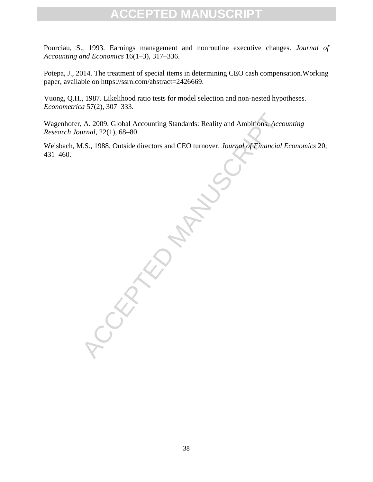Pourciau, S., 1993. Earnings management and nonroutine executive changes. *Journal of Accounting and Economics* 16(1–3), 317–336.

Potepa, J., 2014. The treatment of special items in determining CEO cash compensation.Working paper, available on https://ssrn.com/abstract=2426669.

Vuong, Q.H., 1987. Likelihood ratio tests for model selection and non-nested hypotheses. *Econometrica* 57(2), 307–333.

A. 2009. Global Accounting Standards: Reality and Ambitions, Accession and 22(1), 68–80.<br>
L.S., 1988. Outside directors and CEO turnover. Journal of Financial<br>
Contractions and CEO turnover. Journal of Financial Wagenhofer, A. 2009. Global Accounting Standards: Reality and Ambitions, *Accounting Research Journal*, 22(1), 68–80.

Weisbach, M.S., 1988. Outside directors and CEO turnover. *Journal of Financial Economics* 20, 431–460.

38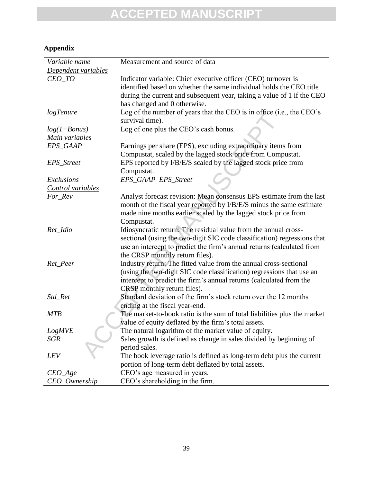### **Appendix**

| Variable name       | Measurement and source of data                                           |
|---------------------|--------------------------------------------------------------------------|
| Dependent variables |                                                                          |
| CEO_TO              | Indicator variable: Chief executive officer (CEO) turnover is            |
|                     | identified based on whether the same individual holds the CEO title      |
|                     | during the current and subsequent year, taking a value of 1 if the CEO   |
|                     | has changed and 0 otherwise.                                             |
| logTenure           | Log of the number of years that the CEO is in office (i.e., the CEO's    |
|                     | survival time).                                                          |
| $log(1+Bonus)$      | Log of one plus the CEO's cash bonus.                                    |
| Main variables      |                                                                          |
| EPS_GAAP            | Earnings per share (EPS), excluding extraordinary items from             |
|                     | Compustat, scaled by the lagged stock price from Compustat.              |
| EPS_Street          | EPS reported by I/B/E/S scaled by the lagged stock price from            |
|                     | Compustat.                                                               |
| Exclusions          | EPS_GAAP-EPS_Street                                                      |
| Control variables   |                                                                          |
| For_Rev             | Analyst forecast revision: Mean consensus EPS estimate from the last     |
|                     | month of the fiscal year reported by I/B/E/S minus the same estimate     |
|                     | made nine months earlier scaled by the lagged stock price from           |
|                     | Compustat.                                                               |
| Ret_Idio            | Idiosyncratic return: The residual value from the annual cross-          |
|                     | sectional (using the two-digit SIC code classification) regressions that |
|                     | use an intercept to predict the firm's annual returns (calculated from   |
|                     | the CRSP monthly return files).                                          |
| Ret_Peer            | Industry return: The fitted value from the annual cross-sectional        |
|                     | (using the two-digit SIC code classification) regressions that use an    |
|                     | intercept to predict the firm's annual returns (calculated from the      |
|                     | CRSP monthly return files).                                              |
| Std_Ret             | Standard deviation of the firm's stock return over the 12 months         |
|                     | ending at the fiscal year-end.                                           |
| <b>MTB</b>          | The market-to-book ratio is the sum of total liabilities plus the market |
|                     | value of equity deflated by the firm's total assets.                     |
| <b>LogMVE</b>       | The natural logarithm of the market value of equity.                     |
| SGR                 | Sales growth is defined as change in sales divided by beginning of       |
|                     | period sales.                                                            |
| <i>LEV</i>          | The book leverage ratio is defined as long-term debt plus the current    |
|                     | portion of long-term debt deflated by total assets.                      |
| $CEO_A$ ge          | CEO's age measured in years.                                             |
| CEO_Ownership       | CEO's shareholding in the firm.                                          |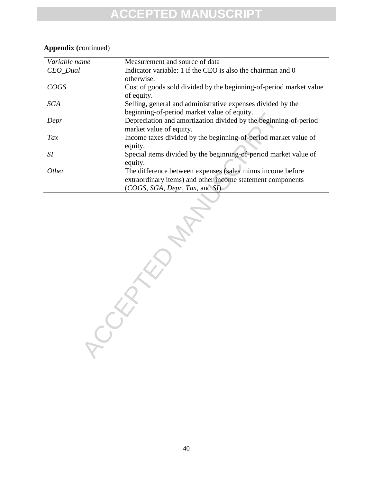| Variable name | Measurement and source of data                                     |
|---------------|--------------------------------------------------------------------|
| CEO_Dual      | Indicator variable: 1 if the CEO is also the chairman and 0        |
|               | otherwise.                                                         |
| COGS          | Cost of goods sold divided by the beginning-of-period market value |
|               | of equity.                                                         |
| <b>SGA</b>    | Selling, general and administrative expenses divided by the        |
|               | beginning-of-period market value of equity.                        |
| Depr          | Depreciation and amortization divided by the beginning-of-period   |
|               | market value of equity.                                            |
| Tax           | Income taxes divided by the beginning-of-period market value of    |
|               | equity.                                                            |
| SI            | Special items divided by the beginning-of-period market value of   |
|               | equity.                                                            |
| Other         | The difference between expenses (sales minus income before         |
|               | extraordinary items) and other income statement components         |
|               | (COGS, SGA, Depr, Tax, and SI).                                    |
|               |                                                                    |
|               |                                                                    |
|               |                                                                    |
|               |                                                                    |
|               |                                                                    |
|               |                                                                    |
|               |                                                                    |
|               |                                                                    |
|               |                                                                    |
|               |                                                                    |
|               |                                                                    |
|               |                                                                    |
|               |                                                                    |
|               |                                                                    |
|               |                                                                    |
|               |                                                                    |
|               |                                                                    |
|               |                                                                    |
|               |                                                                    |
|               |                                                                    |
|               |                                                                    |

### **Appendix (**continued)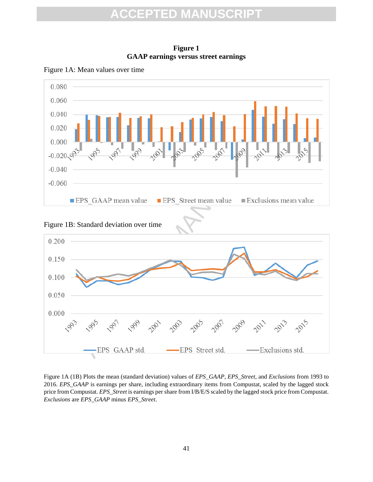

**Figure 1 GAAP earnings versus street earnings**







Figure 1A (1B) Plots the mean (standard deviation) values of *EPS\_GAAP*, *EPS\_Street*, and *Exclusions* from 1993 to 2016. *EPS\_GAAP* is earnings per share, including extraordinary items from Compustat, scaled by the lagged stock price from Compustat. *EPS\_Street* is earnings per share from I/B/E/S scaled by the lagged stock price from Compustat. *Exclusions* are *EPS\_GAAP* minus *EPS\_Street*.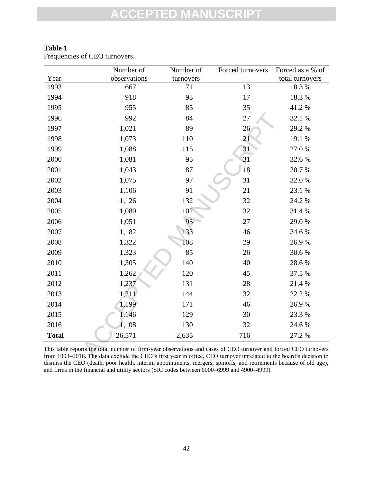|              | Number of                                                                                                                                                                                                                              | Number of | Forced turnovers | Forced as a % of |
|--------------|----------------------------------------------------------------------------------------------------------------------------------------------------------------------------------------------------------------------------------------|-----------|------------------|------------------|
| Year         | observations                                                                                                                                                                                                                           | turnovers |                  | total turnovers  |
| 1993         | 667                                                                                                                                                                                                                                    | 71        | 13               | 18.3 %           |
| 1994         | 918                                                                                                                                                                                                                                    | 93        | 17               | 18.3%            |
| 1995         | 955                                                                                                                                                                                                                                    | 85        | 35               | 41.2%            |
| 1996         | 992                                                                                                                                                                                                                                    | 84        | 27               | 32.1 %           |
| 1997         | 1,021                                                                                                                                                                                                                                  | 89        | 26               | 29.2 %           |
| 1998         | 1,073                                                                                                                                                                                                                                  | 110       | 21               | 19.1 %           |
| 1999         | 1,088                                                                                                                                                                                                                                  | 115       | 31               | 27.0%            |
| 2000         | 1,081                                                                                                                                                                                                                                  | 95        | 31               | 32.6 %           |
| 2001         | 1,043                                                                                                                                                                                                                                  | 87        | 18               | 20.7%            |
| 2002         | 1,075                                                                                                                                                                                                                                  | 97        | 31               | 32.0%            |
| 2003         | 1,106                                                                                                                                                                                                                                  | 91        | 21               | 23.1 %           |
| 2004         | 1,126                                                                                                                                                                                                                                  | 132       | 32               | 24.2 %           |
| 2005         | 1,080                                                                                                                                                                                                                                  | 102       | 32               | 31.4 %           |
| 2006         | 1,051                                                                                                                                                                                                                                  | 93        | 27               | 29.0%            |
| 2007         | 1,182                                                                                                                                                                                                                                  | 133       | 46               | 34.6 %           |
| 2008         | 1,322                                                                                                                                                                                                                                  | 108       | 29               | 26.9%            |
| 2009         | 1,323                                                                                                                                                                                                                                  | 85        | 26               | 30.6%            |
| 2010         | 1,305                                                                                                                                                                                                                                  | 140       | 40               | 28.6%            |
| 2011         | 1,262                                                                                                                                                                                                                                  | 120       | 45               | 37.5 %           |
| 2012         | 1,237                                                                                                                                                                                                                                  | 131       | 28               | 21.4 %           |
| 2013         | 1,211                                                                                                                                                                                                                                  | 144       | 32               | 22.2 %           |
| 2014         | 1,199                                                                                                                                                                                                                                  | 171       | 46               | 26.9%            |
| 2015         | 1,146                                                                                                                                                                                                                                  | 129       | 30               | 23.3 %           |
| 2016         | 1,108                                                                                                                                                                                                                                  | 130       | 32               | 24.6 %           |
| <b>Total</b> | 26,571                                                                                                                                                                                                                                 | 2,635     | 716              | 27.2 %           |
|              | This table reports the total number of firm-year observations and cases of CEO turnover and forced CEO turnovers<br>from 1993–2016. The data exclude the CEO's first year in office, CEO turnover unrelated to the board's decision to |           |                  |                  |

### **Table 1**

Frequencies of CEO turnovers.

This table reports the total number of firm-year observations and cases of CEO turnover and forced CEO turnovers from 1993–2016. The data exclude the CEO's first year in office, CEO turnover unrelated to the board's decision to dismiss the CEO (death, poor health, interim appointments, mergers, spinoffs, and retirements because of old age), and firms in the financial and utility sectors (SIC codes between 6000–6999 and 4900–4999).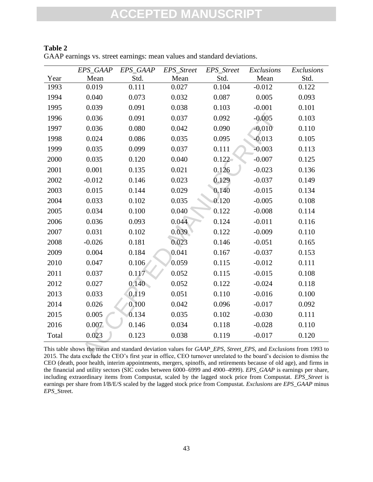|       | EPS_GAAP                                                                                                                                                                                                                              | EPS_GAAP | EPS_Street | EPS_Street | Exclusions | Exclusions |
|-------|---------------------------------------------------------------------------------------------------------------------------------------------------------------------------------------------------------------------------------------|----------|------------|------------|------------|------------|
| Year  | Mean                                                                                                                                                                                                                                  | Std.     | Mean       | Std.       | Mean       | Std.       |
| 1993  | 0.019                                                                                                                                                                                                                                 | 0.111    | 0.027      | 0.104      | $-0.012$   | 0.122      |
| 1994  | 0.040                                                                                                                                                                                                                                 | 0.073    | 0.032      | 0.087      | 0.005      | 0.093      |
| 1995  | 0.039                                                                                                                                                                                                                                 | 0.091    | 0.038      | 0.103      | $-0.001$   | 0.101      |
| 1996  | 0.036                                                                                                                                                                                                                                 | 0.091    | 0.037      | 0.092      | $-0.005$   | 0.103      |
| 1997  | 0.036                                                                                                                                                                                                                                 | 0.080    | 0.042      | 0.090      | $-0.010$   | 0.110      |
| 1998  | 0.024                                                                                                                                                                                                                                 | 0.086    | 0.035      | 0.095      | $-0.013$   | 0.105      |
| 1999  | 0.035                                                                                                                                                                                                                                 | 0.099    | 0.037      | 0.111      | $-0.003$   | 0.113      |
| 2000  | 0.035                                                                                                                                                                                                                                 | 0.120    | 0.040      | $0.122 -$  | $-0.007$   | 0.125      |
| 2001  | 0.001                                                                                                                                                                                                                                 | 0.135    | 0.021      | 0.126      | $-0.023$   | 0.136      |
| 2002  | $-0.012$                                                                                                                                                                                                                              | 0.146    | 0.023      | 0.129      | $-0.037$   | 0.149      |
| 2003  | 0.015                                                                                                                                                                                                                                 | 0.144    | 0.029      | 0.140      | $-0.015$   | 0.134      |
| 2004  | 0.033                                                                                                                                                                                                                                 | 0.102    | 0.035      | 0.120      | $-0.005$   | 0.108      |
| 2005  | 0.034                                                                                                                                                                                                                                 | 0.100    | 0.040      | 0.122      | $-0.008$   | 0.114      |
| 2006  | 0.036                                                                                                                                                                                                                                 | 0.093    | 0.044      | 0.124      | $-0.011$   | 0.116      |
| 2007  | 0.031                                                                                                                                                                                                                                 | 0.102    | 0.039      | 0.122      | $-0.009$   | 0.110      |
| 2008  | $-0.026$                                                                                                                                                                                                                              | 0.181    | 0.023      | 0.146      | $-0.051$   | 0.165      |
| 2009  | 0.004                                                                                                                                                                                                                                 | 0.184    | 0.041      | 0.167      | $-0.037$   | 0.153      |
| 2010  | 0.047                                                                                                                                                                                                                                 | 0.106    | 0.059      | 0.115      | $-0.012$   | 0.111      |
| 2011  | 0.037                                                                                                                                                                                                                                 | 0.117    | 0.052      | 0.115      | $-0.015$   | 0.108      |
| 2012  | 0.027                                                                                                                                                                                                                                 | 0.140    | 0.052      | 0.122      | $-0.024$   | 0.118      |
| 2013  | 0.033                                                                                                                                                                                                                                 | 0.119    | 0.051      | 0.110      | $-0.016$   | 0.100      |
| 2014  | 0.026                                                                                                                                                                                                                                 | 0.100    | 0.042      | 0.096      | $-0.017$   | 0.092      |
| 2015  | 0.005                                                                                                                                                                                                                                 | 0.134    | 0.035      | 0.102      | $-0.030$   | 0.111      |
| 2016  | 0.007                                                                                                                                                                                                                                 | 0.146    | 0.034      | 0.118      | $-0.028$   | 0.110      |
| Total | 0.023                                                                                                                                                                                                                                 | 0.123    | 0.038      | 0.119      | $-0.017$   | 0.120      |
|       | This table shows the mean and standard deviation values for GAAP_EPS, Street_EPS, and Exclusions from 1993 to<br>2015. The data exclude the CEO's first year in office, CEO turnover unrelated to the board's decision to dismiss the |          |            |            |            |            |

### **Table 2**

GAAP earnings vs. street earnings: mean values and standard deviations.

This table shows the mean and standard deviation values for *GAAP\_EPS*, *Street\_EPS*, and *Exclusions* from 1993 to 2015. The data exclude the CEO's first year in office, CEO turnover unrelated to the board's decision to dismiss the CEO (death, poor health, interim appointments, mergers, spinoffs, and retirements because of old age), and firms in the financial and utility sectors (SIC codes between 6000–6999 and 4900–4999). *EPS\_GAAP* is earnings per share, including extraordinary items from Compustat, scaled by the lagged stock price from Compustat. *EPS\_Street* is earnings per share from I/B/E/S scaled by the lagged stock price from Compustat. *Exclusions* are *EPS\_GAAP* minus *EPS\_*Street.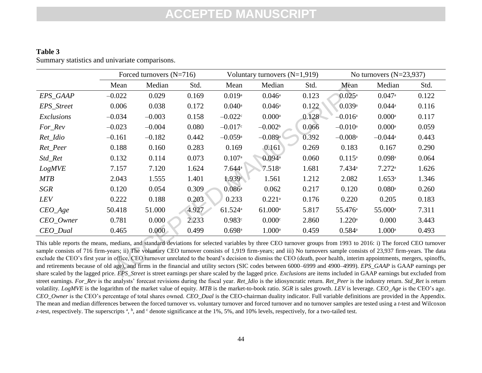### **Table 3** Summary statistics and univariate comparisons.

|                                                                                                                                                                                                                                                                                                                                                                                                                                                                                                                                                                                                                                                                                                                                                                                                                                                                        |          | Forced turnovers $(N=716)$ |       |                       | Voluntary turnovers $(N=1,919)$ |       |                       | No turnovers $(N=23,937)$ |       |
|------------------------------------------------------------------------------------------------------------------------------------------------------------------------------------------------------------------------------------------------------------------------------------------------------------------------------------------------------------------------------------------------------------------------------------------------------------------------------------------------------------------------------------------------------------------------------------------------------------------------------------------------------------------------------------------------------------------------------------------------------------------------------------------------------------------------------------------------------------------------|----------|----------------------------|-------|-----------------------|---------------------------------|-------|-----------------------|---------------------------|-------|
|                                                                                                                                                                                                                                                                                                                                                                                                                                                                                                                                                                                                                                                                                                                                                                                                                                                                        | Mean     | Median                     | Std.  | Mean                  | Median                          | Std.  | Mean                  | Median                    | Std.  |
| EPS_GAAP                                                                                                                                                                                                                                                                                                                                                                                                                                                                                                                                                                                                                                                                                                                                                                                                                                                               | $-0.022$ | 0.029                      | 0.169 | $0.019$ <sup>a</sup>  | $0.046^{\rm a}$                 | 0.123 | $0.025^{\rm a}$       | $0.047$ <sup>a</sup>      | 0.122 |
| EPS_Street                                                                                                                                                                                                                                                                                                                                                                                                                                                                                                                                                                                                                                                                                                                                                                                                                                                             | 0.006    | 0.038                      | 0.172 | $0.040$ <sup>a</sup>  | $0.046$ <sup>a</sup>            | 0.122 | 0.039a                | $0.044$ <sup>a</sup>      | 0.116 |
| Exclusions                                                                                                                                                                                                                                                                                                                                                                                                                                                                                                                                                                                                                                                                                                                                                                                                                                                             | $-0.034$ | $-0.003$                   | 0.158 | $-0.022c$             | $0.000$ <sup>a</sup>            | 0.128 | $-0.016$ <sup>a</sup> | $0.000$ <sup>a</sup>      | 0.117 |
| For_Rev                                                                                                                                                                                                                                                                                                                                                                                                                                                                                                                                                                                                                                                                                                                                                                                                                                                                | $-0.023$ | $-0.004$                   | 0.080 | $-0.017$ c            | $-0.002b$                       | 0.066 | $-0.010$ <sup>a</sup> | $0.000$ <sup>a</sup>      | 0.059 |
| Ret_Idio                                                                                                                                                                                                                                                                                                                                                                                                                                                                                                                                                                                                                                                                                                                                                                                                                                                               | $-0.161$ | $-0.182$                   | 0.442 | $-0.059a$             | $-0.089$ <sup>a</sup>           | 0.392 | $-0.008$ <sup>a</sup> | $-0.044$ <sup>a</sup>     | 0.443 |
| Ret_Peer                                                                                                                                                                                                                                                                                                                                                                                                                                                                                                                                                                                                                                                                                                                                                                                                                                                               | 0.188    | 0.160                      | 0.283 | 0.169                 | 0.161                           | 0.269 | 0.183                 | 0.167                     | 0.290 |
| Std_Ret                                                                                                                                                                                                                                                                                                                                                                                                                                                                                                                                                                                                                                                                                                                                                                                                                                                                | 0.132    | 0.114                      | 0.073 | $0.107$ <sup>a</sup>  | $0.094$ <sup>a</sup>            | 0.060 | $0.115^{a}$           | $0.098$ <sup>a</sup>      | 0.064 |
| <b>LogMVE</b>                                                                                                                                                                                                                                                                                                                                                                                                                                                                                                                                                                                                                                                                                                                                                                                                                                                          | 7.157    | 7.120                      | 1.624 | 7.644a                | $7.518$ <sup>a</sup>            | 1.681 | 7.434a                | 7.272a                    | 1.626 |
| <b>MTB</b>                                                                                                                                                                                                                                                                                                                                                                                                                                                                                                                                                                                                                                                                                                                                                                                                                                                             | 2.043    | 1.555                      | 1.401 | 1.939c                | 1.561                           | 1.212 | 2.082                 | 1.653a                    | 1.346 |
| <b>SGR</b>                                                                                                                                                                                                                                                                                                                                                                                                                                                                                                                                                                                                                                                                                                                                                                                                                                                             | 0.120    | 0.054                      | 0.309 | $0.086^{\circ}$       | 0.062                           | 0.217 | 0.120                 | $0.080$ <sup>a</sup>      | 0.260 |
| LEV                                                                                                                                                                                                                                                                                                                                                                                                                                                                                                                                                                                                                                                                                                                                                                                                                                                                    | 0.222    | 0.188                      | 0.203 | 0.233                 | $0.221$ <sup>a</sup>            | 0.176 | 0.220                 | 0.205                     | 0.183 |
| $CEO_Age$                                                                                                                                                                                                                                                                                                                                                                                                                                                                                                                                                                                                                                                                                                                                                                                                                                                              | 50.418   | 51.000                     | 4.927 | $61.524$ <sup>a</sup> | $61.000$ <sup>a</sup>           | 5.817 | 55.476 <sup>a</sup>   | 55.000 <sup>a</sup>       | 7.311 |
| CEO_Owner                                                                                                                                                                                                                                                                                                                                                                                                                                                                                                                                                                                                                                                                                                                                                                                                                                                              | 0.781    | 0.000                      | 2.233 | 0.983c                | 0.000c                          | 2.860 | $1.220$ <sup>a</sup>  | 0.000                     | 3.443 |
| CEO_Dual                                                                                                                                                                                                                                                                                                                                                                                                                                                                                                                                                                                                                                                                                                                                                                                                                                                               | 0.465    | 0.000 <sub>1</sub>         | 0.499 | $0.698$ <sup>a</sup>  | $1.000$ <sup>a</sup>            | 0.459 | $0.584^{\rm a}$       | $1.000$ <sup>a</sup>      | 0.493 |
| This table reports the means, medians, and standard deviations for selected variables by three CEO turnover groups from 1993 to 2016: i) The forced CEO turnover<br>sample consists of 716 firm-years; ii) The voluntary CEO turnover consists of 1,919 firm-years; and iii) No turnovers sample consists of 23,937 firm-years. The data<br>exclude the CEO's first year in office, CEO turnover unrelated to the board's decision to dismiss the CEO (death, poor health, interim appointments, mergers, spinoffs,<br>and retirements because of old age), and firms in the financial and utility sectors (SIC codes between 6000–6999 and 4900–4999). <i>EPS GAAP</i> is GAAP earnings per<br>share scaled by the lagged price. EPS_Street is street earnings per share scaled by the lagged price. Exclusions are items included in GAAP earnings but excluded from |          |                            |       |                       |                                 |       |                       |                           |       |

This table reports the means, medians, and standard deviations for selected variables by three CEO turnover groups from 1993 to 2016: i) The forced CEO turnover sample consists of 716 firm-years; ii) The voluntary CEO turnover consists of 1,919 firm-years; and iii) No turnovers sample consists of 23,937 firm-years. The data exclude the CEO's first year in office, CEO turnover unrelated to the board's decision to dismiss the CEO (death, poor health, interim appointments, mergers, spinoffs, and retirements because of old age), and firms in the financial and utility sectors (SIC codes between 6000–6999 and 4900–4999). *EPS\_GAAP* is GAAP earnings per share scaled by the lagged price. *EPS\_Street* is street earnings per share scaled by the lagged price. *Exclusions* are items included in GAAP earnings but excluded from street earnings. *For\_Rev* is the analysts' forecast revisions during the fiscal year. *Ret\_Idio* is the idiosyncratic return. *Ret\_Peer* is the industry return. *Std\_Ret* is return volatility*. LogMVE* is the logarithm of the market value of equity. *MTB* is the market-to-book ratio. *SGR* is sales growth. *LEV* is leverage. *CEO\_Age* is the CEO's age. *CEO\_Owner* is the CEO's percentage of total shares owned. *CEO\_Dual* is the CEO-chairman duality indicator. Full variable definitions are provided in the Appendix. The mean and median differences between the forced turnover vs. voluntary turnover and forced turnover and no turnover samples are tested using a *t-*test and Wilcoxon *z*-test, respectively. The superscripts <sup>a</sup>, <sup>b</sup>, and <sup>c</sup> denote significance at the 1%, 5%, and 10% levels, respectively, for a two-tailed test.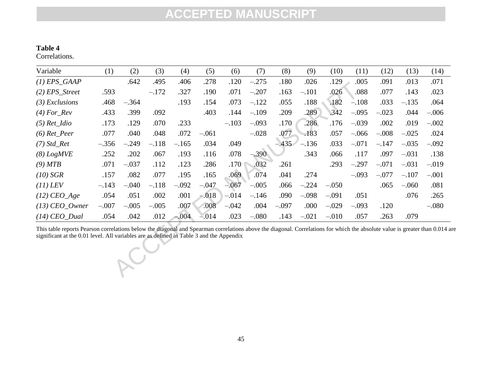### **Table 4**

Correlations.

| Variable                                                                                                                                                                                                                                                              | (1)     | (2)     | (3)     | (4)     | (5)     | (6)     | (7)     | (8)     | (9)     | (10)    | (11)    | (12)    | (13)    | (14)    |
|-----------------------------------------------------------------------------------------------------------------------------------------------------------------------------------------------------------------------------------------------------------------------|---------|---------|---------|---------|---------|---------|---------|---------|---------|---------|---------|---------|---------|---------|
| $(1)$ EPS_GAAP                                                                                                                                                                                                                                                        |         | .642    | .495    | .406    | .278    | .120    | $-.275$ | .180    | .026    | .129    | .005    | .091    | .013    | .071    |
| $(2)$ EPS_Street                                                                                                                                                                                                                                                      | .593    |         | $-.172$ | .327    | .190    | .071    | $-.207$ | .163    | $-.101$ | .026    | .088    | .077    | .143    | .023    |
| $(3)$ Exclusions                                                                                                                                                                                                                                                      | .468    | $-.364$ |         | .193    | .154    | .073    | $-.122$ | .055    | .188    | .182    | $-.108$ | .033    | $-.135$ | .064    |
| $(4) For_{\mathbb{R}}$ ev                                                                                                                                                                                                                                             | .433    | .399    | .092    |         | .403    | .144    | $-.109$ | .209    | .289    | .342    | $-.095$ | $-.023$ | .044    | $-.006$ |
| $(5)$ Ret_Idio                                                                                                                                                                                                                                                        | .173    | .129    | .070    | .233    |         | $-.103$ | $-.093$ | .170    | .286    | .176    | $-.039$ | .002    | .019    | $-.002$ |
| $(6)$ Ret_Peer                                                                                                                                                                                                                                                        | .077    | .040    | .048    | .072    | $-.061$ |         | $-.028$ | .077    | .183    | .057    | $-.066$ | $-.008$ | $-.025$ | .024    |
| $(7)$ Std_Ret                                                                                                                                                                                                                                                         | $-.356$ | $-.249$ | $-.118$ | $-.165$ | .034    | .049    |         | $-.435$ | $-.136$ | .033    | $-.071$ | $-.147$ | $-.035$ | $-.092$ |
| (8) LogMVE                                                                                                                                                                                                                                                            | .252    | .202    | .067    | .193    | .116    | .078    | $-.390$ |         | .343    | .066    | .117    | .097    | $-.031$ | .138    |
| (9) MTB                                                                                                                                                                                                                                                               | .071    | $-.037$ | .112    | .123    | .286    | .170    | .032    | .261    |         | .293    | $-.297$ | $-.071$ | $-.031$ | $-.019$ |
| $(10)$ SGR                                                                                                                                                                                                                                                            | .157    | .082    | .077    | .195    | .165    | .069    | .074    | .041    | .274    |         | $-.093$ | $-.077$ | $-.107$ | $-.001$ |
| $(11)$ LEV                                                                                                                                                                                                                                                            | $-.143$ | $-.040$ | $-.118$ | $-.092$ | $-.047$ | $-.067$ | $-.005$ | .066    | $-.224$ | $-.050$ |         | .065    | $-.060$ | .081    |
| $(12)$ CEO_Age                                                                                                                                                                                                                                                        | .054    | .051    | .002    | .001    | $-018$  | $-.014$ | $-.146$ | .090    | $-.098$ | $-.091$ | .051    |         | .076    | .265    |
| $(13)$ CEO_Owner                                                                                                                                                                                                                                                      | $-.007$ | $-.005$ | $-.005$ | .007    | .008    | $-.042$ | .004    | $-.097$ | .000    | $-.029$ | $-.093$ | .120    |         | $-.080$ |
| $(14)$ CEO_Dual                                                                                                                                                                                                                                                       | .054    | .042    | .012    | $-.004$ | $-.014$ | .023    | $-.080$ | .143    | $-.021$ | $-.010$ | .057    | .263    | .079    |         |
| This table reports Pearson correlations below the diagonal and Spearman correlations above the diagonal. Correlations for which the absolute value is greater than 0.014 a<br>significant at the 0.01 level. All variables are as defined in Table 3 and the Appendix |         |         |         |         |         |         |         |         |         |         |         |         |         |         |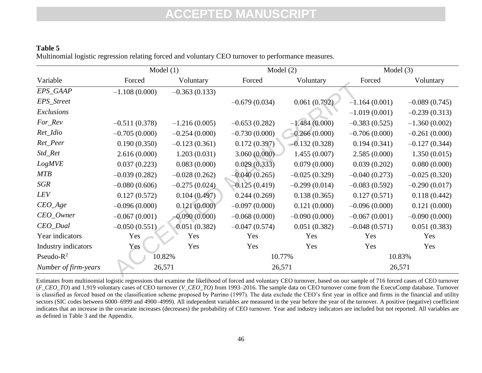### **Table 5** Multinomial logistic regression relating forced and voluntary CEO turnover to performance measures.

|                      | Model $(1)$     |                 | Model $(2)$     |                 | Model $(3)$     |                 |  |
|----------------------|-----------------|-----------------|-----------------|-----------------|-----------------|-----------------|--|
| Variable             | Forced          | Voluntary       | Forced          | Voluntary       | Forced          | Voluntary       |  |
| EPS_GAAP             | $-1.108(0.000)$ | $-0.363(0.133)$ |                 |                 |                 |                 |  |
| EPS_Street           |                 |                 | $-0.679(0.034)$ | 0.061(0.792)    | $-1.164(0.001)$ | $-0.089(0.745)$ |  |
| Exclusions           |                 |                 |                 |                 | $-1.019(0.001)$ | $-0.239(0.313)$ |  |
| For_Rev              | $-0.511(0.378)$ | $-1.216(0.005)$ | $-0.653(0.282)$ | $-1.484(0.000)$ | $-0.383(0.525)$ | $-1.360(0.002)$ |  |
| Ret_Idio             | $-0.705(0.000)$ | $-0.254(0.000)$ | $-0.730(0.000)$ | $-0.266(0.000)$ | $-0.706(0.000)$ | $-0.261(0.000)$ |  |
| Ret_Peer             | 0.190(0.350)    | $-0.123(0.361)$ | 0.172(0.397)    | $-0.132(0.328)$ | 0.194(0.341)    | $-0.127(0.344)$ |  |
| Std_Ret              | 2.616(0.000)    | 1.203(0.031)    | 3.060(0.000)    | 1.455(0.007)    | 2.585(0.000)    | 1.350(0.015)    |  |
| <b>LogMVE</b>        | 0.037(0.223)    | 0.083(0.000)    | 0.029(0.333)    | 0.079(0.000)    | 0.039(0.202)    | 0.080(0.000)    |  |
| <b>MTB</b>           | $-0.039(0.282)$ | $-0.028(0.262)$ | $-0.040(0.265)$ | $-0.025(0.329)$ | $-0.040(0.273)$ | $-0.025(0.320)$ |  |
| SGR                  | $-0.080(0.606)$ | $-0.275(0.024)$ | $-0.125(0.419)$ | $-0.299(0.014)$ | $-0.083(0.592)$ | $-0.290(0.017)$ |  |
| LEV                  | 0.127(0.572)    | 0.104(0.497)    | 0.244(0.269)    | 0.138(0.365)    | 0.127(0.571)    | 0.118(0.442)    |  |
| $CEO_Age$            | $-0.096(0.000)$ | 0.121(0.000)    | $-0.097(0.000)$ | 0.121(0.000)    | $-0.096(0.000)$ | 0.121(0.000)    |  |
| $CEO_Owner$          | $-0.067(0.001)$ | $-0.090(0.000)$ | $-0.068(0.000)$ | $-0.090(0.000)$ | $-0.067(0.001)$ | $-0.090(0.000)$ |  |
| $CEO_$ Dual          | $-0.050(0.551)$ | 0.051(0.382)    | $-0.047(0.574)$ | 0.051(0.382)    | $-0.048(0.571)$ | 0.051(0.383)    |  |
| Year indicators      | Yes             | Yes             | Yes             | Yes             | Yes             | Yes             |  |
| Industry indicators  | Yes             | Yes             | Yes             | Yes             | Yes             | Yes             |  |
| Pseudo- $R^2$        | 10.82%          |                 |                 | 10.77%          |                 | 10.83%          |  |
| Number of firm-years | 26,571          |                 | 26,571          |                 | 26,571          |                 |  |

Estimates from multinomial logistic regressions that examine the likelihood of forced and voluntary CEO turnover, based on our sample of 716 forced cases of CEO turnover (*F\_CEO\_TO*) and 1,919 voluntary cases of CEO turnover (*V\_CEO\_TO*) from 1993–2016. The sample data on CEO turnover come from the ExecuComp database. Turnover is classified as forced based on the classification scheme proposed by Parrino (1997). The data exclude the CEO's first year in office and firms in the financial and utility sectors (SIC codes between 6000–6999 and 4900–4999). All independent variables are measured in the year before the year of the turnover. A positive (negative) coefficient indicates that an increase in the covariate increases (decreases) the probability of CEO turnover. Year and industry indicators are included but not reported. All variables are as defined in Table 3 and the Appendix.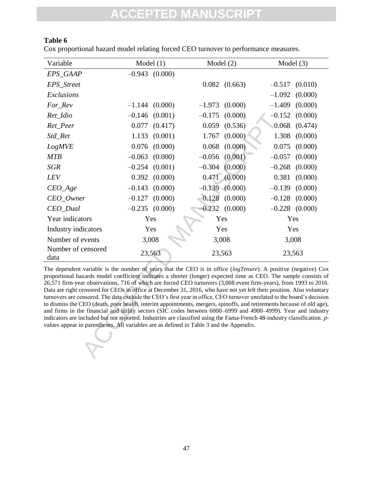### **Table 6**

Cox proportional hazard model relating forced CEO turnover to performance measures.

| Variable                                                                                                                                                                                                                                                                                                                                                                                                                                                                                                                                                                                                                                                                                                                                                                                                                                                                                                                                                                                                                                                                     | Model $(1)$        |         | Model $(2)$ |                    | Model $(3)$      |         |
|------------------------------------------------------------------------------------------------------------------------------------------------------------------------------------------------------------------------------------------------------------------------------------------------------------------------------------------------------------------------------------------------------------------------------------------------------------------------------------------------------------------------------------------------------------------------------------------------------------------------------------------------------------------------------------------------------------------------------------------------------------------------------------------------------------------------------------------------------------------------------------------------------------------------------------------------------------------------------------------------------------------------------------------------------------------------------|--------------------|---------|-------------|--------------------|------------------|---------|
| EPS_GAAP                                                                                                                                                                                                                                                                                                                                                                                                                                                                                                                                                                                                                                                                                                                                                                                                                                                                                                                                                                                                                                                                     | $-0.943$ (0.000)   |         |             |                    |                  |         |
| EPS_Street                                                                                                                                                                                                                                                                                                                                                                                                                                                                                                                                                                                                                                                                                                                                                                                                                                                                                                                                                                                                                                                                   |                    |         | 0.082       | (0.663)            | $-0.517$         | (0.010) |
| Exclusions                                                                                                                                                                                                                                                                                                                                                                                                                                                                                                                                                                                                                                                                                                                                                                                                                                                                                                                                                                                                                                                                   |                    |         |             |                    | $-1.092$         | (0.000) |
| For_Rev                                                                                                                                                                                                                                                                                                                                                                                                                                                                                                                                                                                                                                                                                                                                                                                                                                                                                                                                                                                                                                                                      | $-1.144$           | (0.000) | $-1.973$    | (0.000)            | $-1.409$         | (0.000) |
| Ret_Idio                                                                                                                                                                                                                                                                                                                                                                                                                                                                                                                                                                                                                                                                                                                                                                                                                                                                                                                                                                                                                                                                     | $-0.146$ (0.001)   |         | $-0.175$    | (0.000)            | $-0.152$         | (0.000) |
| Ret_Peer                                                                                                                                                                                                                                                                                                                                                                                                                                                                                                                                                                                                                                                                                                                                                                                                                                                                                                                                                                                                                                                                     | 0.077              | (0.417) | 0.059       | (0.536)            | 0.068            | (0.474) |
| Std_Ret                                                                                                                                                                                                                                                                                                                                                                                                                                                                                                                                                                                                                                                                                                                                                                                                                                                                                                                                                                                                                                                                      | 1.133              | (0.001) | 1.767       | (0.000)            | 1.308            | (0.000) |
| <b>LogMVE</b>                                                                                                                                                                                                                                                                                                                                                                                                                                                                                                                                                                                                                                                                                                                                                                                                                                                                                                                                                                                                                                                                | 0.076              | (0.000) | 0.068       | (0.000)            | 0.075            | (0.000) |
| <b>MTB</b>                                                                                                                                                                                                                                                                                                                                                                                                                                                                                                                                                                                                                                                                                                                                                                                                                                                                                                                                                                                                                                                                   | $-0.063$           | (0.000) | $-0.056$    | (0.001)            | $-0.057$         | (0.000) |
| <b>SGR</b>                                                                                                                                                                                                                                                                                                                                                                                                                                                                                                                                                                                                                                                                                                                                                                                                                                                                                                                                                                                                                                                                   | $-0.254$           | (0.001) | $-0.304$    | (0.000)            | $-0.268$         | (0.000) |
| LEV                                                                                                                                                                                                                                                                                                                                                                                                                                                                                                                                                                                                                                                                                                                                                                                                                                                                                                                                                                                                                                                                          | 0.392              | (0.000) | 0.471       | (0.000)            | 0.381            | (0.000) |
| $CEO_Age$                                                                                                                                                                                                                                                                                                                                                                                                                                                                                                                                                                                                                                                                                                                                                                                                                                                                                                                                                                                                                                                                    | $-0.143$           | (0.000) |             | $-0.139 - (0.000)$ | $-0.139$         | (0.000) |
| CEO_Owner                                                                                                                                                                                                                                                                                                                                                                                                                                                                                                                                                                                                                                                                                                                                                                                                                                                                                                                                                                                                                                                                    | $-0.127$           | (0.000) | $-0.128$    | (0.000)            | $-0.128$         | (0.000) |
| CEO_Dual                                                                                                                                                                                                                                                                                                                                                                                                                                                                                                                                                                                                                                                                                                                                                                                                                                                                                                                                                                                                                                                                     | $-0.235$ $(0.000)$ |         |             | $-0.232$ $(0.000)$ | $-0.228$ (0.000) |         |
| Year indicators                                                                                                                                                                                                                                                                                                                                                                                                                                                                                                                                                                                                                                                                                                                                                                                                                                                                                                                                                                                                                                                              | Yes                |         | Yes         |                    | Yes              |         |
| Industry indicators                                                                                                                                                                                                                                                                                                                                                                                                                                                                                                                                                                                                                                                                                                                                                                                                                                                                                                                                                                                                                                                          | Yes                |         |             | Yes                | Yes              |         |
| Number of events                                                                                                                                                                                                                                                                                                                                                                                                                                                                                                                                                                                                                                                                                                                                                                                                                                                                                                                                                                                                                                                             | 3,008              |         |             | 3,008              | 3,008            |         |
| Number of censored<br>data                                                                                                                                                                                                                                                                                                                                                                                                                                                                                                                                                                                                                                                                                                                                                                                                                                                                                                                                                                                                                                                   | 23,563             |         | 23,563      |                    | 23,563           |         |
| The dependent variable is the number of years that the CEO is in office (logTenure). A positive (negative) Cox<br>proportional hazards model coefficient indicates a shorter (longer) expected time as CEO. The sample consists of<br>26,571 firm-year observations, 716 of which are forced CEO turnovers (3,008 event firm-years), from 1993 to 2016.<br>Data are right censored for CEOs in office at December 31, 2016, who have not yet left their position. Also voluntary<br>turnovers are censored. The data exclude the CEO's first year in office, CEO turnover unrelated to the board's decision<br>to dismiss the CEO (death, poor health, interim appointments, mergers, spinoffs, and retirements because of old age),<br>and firms in the financial and utility sectors (SIC codes between 6000–6999 and 4900–4999). Year and industry<br>indicators are included but not reported. Industries are classified using the Fama-French 48-industry classification. p-<br>values appear in parentheses. All variables are as defined in Table 3 and the Appendix. |                    |         |             |                    |                  |         |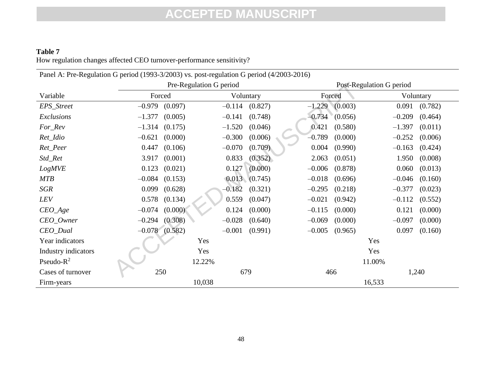### **Table 7** How regulation changes affected CEO turnover-performance sensitivity?

| Panel A: Pre-Regulation G period (1993-3/2003) vs. post-regulation G period (4/2003-2016) |                     |                         |                     |                          |  |  |  |  |
|-------------------------------------------------------------------------------------------|---------------------|-------------------------|---------------------|--------------------------|--|--|--|--|
|                                                                                           |                     | Pre-Regulation G period |                     | Post-Regulation G period |  |  |  |  |
| Variable                                                                                  | Forced              | Voluntary               | Forced              | Voluntary                |  |  |  |  |
| EPS_Street                                                                                | $-0.979$            | $-0.114$                | $-1.229$            | 0.091                    |  |  |  |  |
|                                                                                           | (0.097)             | (0.827)                 | (0.003)             | (0.782)                  |  |  |  |  |
| Exclusions                                                                                | $-1.377$            | $-0.141$                | $-0.734$            | $-0.209$                 |  |  |  |  |
|                                                                                           | (0.005)             | (0.748)                 | (0.056)             | (0.464)                  |  |  |  |  |
| For_Rev                                                                                   | $-1.314$            | $-1.520$                | 0.421               | $-1.397$                 |  |  |  |  |
|                                                                                           | (0.175)             | (0.046)                 | (0.580)             | (0.011)                  |  |  |  |  |
| Ret_Idio                                                                                  | $-0.621$            | $-0.300$                | $-0.789$            | $-0.252$                 |  |  |  |  |
|                                                                                           | (0.000)             | (0.006)                 | (0.000)             | (0.006)                  |  |  |  |  |
| Ret_Peer                                                                                  | 0.447               | (0.709)                 | 0.004               | $-0.163$                 |  |  |  |  |
|                                                                                           | (0.106)             | $-0.070$                | (0.990)             | (0.424)                  |  |  |  |  |
| Std_Ret                                                                                   | 3.917               | (0.352)                 | 2.063               | 1.950                    |  |  |  |  |
|                                                                                           | (0.001)             | 0.833                   | (0.051)             | (0.008)                  |  |  |  |  |
| <b>LogMVE</b>                                                                             | 0.123               | 0.127                   | $-0.006$            | 0.060                    |  |  |  |  |
|                                                                                           | (0.021)             | (0.000)                 | (0.878)             | (0.013)                  |  |  |  |  |
| <b>MTB</b>                                                                                | $-0.084$<br>(0.153) | (0.013)(0.745)          | $-0.018$<br>(0.696) | $-0.046$<br>(0.160)      |  |  |  |  |
| <b>SGR</b>                                                                                | 0.099               | $-0.182$                | $-0.295$            | $-0.377$                 |  |  |  |  |
|                                                                                           | (0.628)             | (0.321)                 | (0.218)             | (0.023)                  |  |  |  |  |
| <b>LEV</b>                                                                                | 0.578               | 0.559                   | $-0.021$            | $-0.112$                 |  |  |  |  |
|                                                                                           | (0.134)             | (0.047)                 | (0.942)             | (0.552)                  |  |  |  |  |
| $CEO_{\mathcal{A}}$ ge                                                                    | $-0.074$            | 0.124                   | $-0.115$            | 0.121                    |  |  |  |  |
|                                                                                           | (0.000)             | (0.000)                 | (0.000)             | (0.000)                  |  |  |  |  |
| CEO_Owner                                                                                 | (0.308)             | $-0.028$                | $-0.069$            | $-0.097$                 |  |  |  |  |
|                                                                                           | $-0.294$            | (0.640)                 | (0.000)             | (0.000)                  |  |  |  |  |
| $CEO_$                                                                                    | $-0.078$ $(0.582)$  | $-0.001$<br>(0.991)     | $-0.005$<br>(0.965) | 0.097<br>(0.160)         |  |  |  |  |
| Year indicators                                                                           |                     | Yes                     | Yes                 |                          |  |  |  |  |
| Industry indicators                                                                       |                     | Yes                     | Yes                 |                          |  |  |  |  |
| Pseudo- $R^2$                                                                             |                     | 12.22%                  | 11.00%              |                          |  |  |  |  |
| Cases of turnover                                                                         | 250                 | 679                     | 466                 | 1,240                    |  |  |  |  |
| Firm-years                                                                                |                     | 10,038                  | 16,533              |                          |  |  |  |  |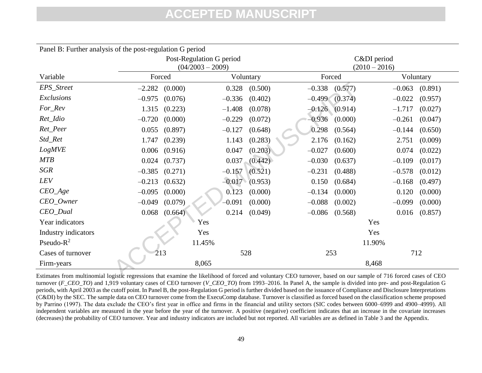| Panel B: Further analysis of the post-regulation G period                                                                                                        |          |                          |                    |                   |          |                    |          |           |  |
|------------------------------------------------------------------------------------------------------------------------------------------------------------------|----------|--------------------------|--------------------|-------------------|----------|--------------------|----------|-----------|--|
|                                                                                                                                                                  |          | Post-Regulation G period |                    |                   |          | C&DI period        |          |           |  |
|                                                                                                                                                                  |          |                          | $(04/2003 - 2009)$ |                   |          | $(2010 - 2016)$    |          |           |  |
| Variable                                                                                                                                                         | Forced   |                          |                    | Voluntary         |          | Forced             |          | Voluntary |  |
| EPS_Street                                                                                                                                                       | $-2.282$ | (0.000)                  | 0.328              | (0.500)           | $-0.338$ | (0.577)            | $-0.063$ | (0.891)   |  |
| Exclusions                                                                                                                                                       | $-0.975$ | (0.076)                  | $-0.336$           | (0.402)           | $-0.499$ | (0.374)            | $-0.022$ | (0.957)   |  |
| For_Rev                                                                                                                                                          | 1.315    | (0.223)                  | $-1.408$           | (0.078)           |          | $-0.126$ $(0.914)$ | $-1.717$ | (0.027)   |  |
| Ret_Idio                                                                                                                                                         | $-0.720$ | (0.000)                  | $-0.229$           | (0.072)           | $-0.936$ | (0.000)            | $-0.261$ | (0.047)   |  |
| Ret_Peer                                                                                                                                                         | 0.055    | (0.897)                  | $-0.127$           | (0.648)           | 0.298    | (0.564)            | $-0.144$ | (0.650)   |  |
| Std_Ret                                                                                                                                                          | 1.747    | (0.239)                  | 1.143              | (0.283)           | 2.176    | (0.162)            | 2.751    | (0.009)   |  |
| <b>LogMVE</b>                                                                                                                                                    | 0.006    | (0.916)                  | 0.047              | (0.203)           | $-0.027$ | (0.600)            | 0.074    | (0.022)   |  |
| <b>MTB</b>                                                                                                                                                       | 0.024    | (0.737)                  |                    | $0.037$ $(0.442)$ | $-0.030$ | (0.637)            | $-0.109$ | (0.017)   |  |
| <b>SGR</b>                                                                                                                                                       | $-0.385$ | (0.271)                  | $-0.157$           | (0.521)           | $-0.231$ | (0.488)            | $-0.578$ | (0.012)   |  |
| LEV                                                                                                                                                              | $-0.213$ | (0.632)                  |                    | $-0.017$ (0.953)  | 0.150    | (0.684)            | $-0.168$ | (0.497)   |  |
| $CEO_Age$                                                                                                                                                        | $-0.095$ | (0.000)                  | 0.123              | (0.000)           | $-0.134$ | (0.000)            | 0.120    | (0.000)   |  |
| $CEO_0$ wner                                                                                                                                                     | $-0.049$ | (0.079)                  | $-0.091$           | (0.000)           | $-0.088$ | (0.002)            | $-0.099$ | (0.000)   |  |
| CEO_Dual                                                                                                                                                         | 0.068    | (0.664)                  | 0.214              | (0.049)           | $-0.086$ | (0.568)            | 0.016    | (0.857)   |  |
| Year indicators                                                                                                                                                  |          |                          | Yes                |                   |          |                    | Yes      |           |  |
| Industry indicators                                                                                                                                              |          |                          | Yes                |                   |          |                    | Yes      |           |  |
| Pseudo- $R^2$                                                                                                                                                    |          |                          | 11.45%             |                   |          |                    | 11.90%   |           |  |
| Cases of turnover                                                                                                                                                |          | 213                      |                    | 528               |          | 253                |          | 712       |  |
| Firm-years                                                                                                                                                       |          |                          | 8,065              |                   |          |                    | 8,468    |           |  |
| Estimates from multinomial logistic regressions that examine the likelihood of forced and voluntary CEO turnover, based on our sample of 716 forced cases of CEO |          |                          |                    |                   |          |                    |          |           |  |

Estimates from multinomial logistic regressions that examine the likelihood of forced and voluntary CEO turnover, based on our sample of 716 forced cases of CEO turnover (*F\_CEO\_TO*) and 1,919 voluntary cases of CEO turnover (*V\_CEO\_TO*) from 1993–2016. In Panel A, the sample is divided into pre- and post-Regulation G periods, with April 2003 as the cutoff point. In Panel B, the post-Regulation G period is further divided based on the issuance of Compliance and Disclosure Interpretations (C&DI) by the SEC. The sample data on CEO turnover come from the ExecuComp database. Turnover is classified as forced based on the classification scheme proposed by Parrino (1997). The data exclude the CEO's first year in office and firms in the financial and utility sectors (SIC codes between 6000–6999 and 4900–4999). All independent variables are measured in the year before the year of the turnover. A positive (negative) coefficient indicates that an increase in the covariate increases (decreases) the probability of CEO turnover. Year and industry indicators are included but not reported. All variables are as defined in Table 3 and the Appendix.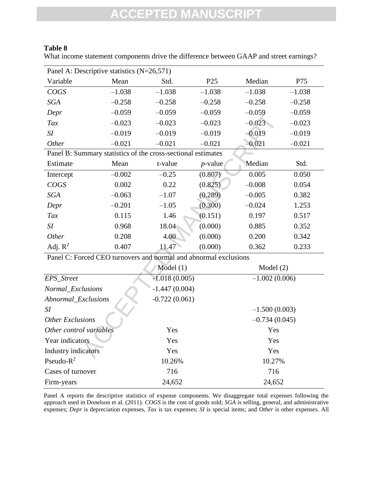### **Table 8**

What income statement components drive the difference between GAAP and street earnings?

| Panel A: Descriptive statistics (N=26,571)                       |          |                 |                 |                 |          |
|------------------------------------------------------------------|----------|-----------------|-----------------|-----------------|----------|
| Variable                                                         | Mean     | Std.            | P <sub>25</sub> | Median          | P75      |
| COGS                                                             | $-1.038$ | $-1.038$        | $-1.038$        | $-1.038$        | $-1.038$ |
| SGA                                                              | $-0.258$ | $-0.258$        | $-0.258$        | $-0.258$        | $-0.258$ |
| Depr                                                             | $-0.059$ | $-0.059$        | $-0.059$        | $-0.059$        | $-0.059$ |
| Tax                                                              | $-0.023$ | $-0.023$        | $-0.023$        | $-0.023$        | $-0.023$ |
| SI                                                               | $-0.019$ | $-0.019$        | $-0.019$        | $-0.019$        | $-0.019$ |
| Other                                                            | $-0.021$ | $-0.021$        | $-0.021$        | $-0.021$        | $-0.021$ |
| Panel B: Summary statistics of the cross-sectional estimates     |          |                 |                 |                 |          |
| Estimate                                                         | Mean     | t-value         | $p$ -value      | Median          | Std.     |
| Intercept                                                        | $-0.002$ | $-0.25$         | (0.807)         | 0.005           | 0.050    |
| COGS                                                             | 0.002    | 0.22            | (0.825)         | $-0.008$        | 0.054    |
| SGA                                                              | $-0.063$ | $-1.07$         | (0.289)         | $-0.005$        | 0.382    |
| Depr                                                             | $-0.201$ | $-1.05$         | (0.300)         | $-0.024$        | 1.253    |
| Tax                                                              | 0.115    | 1.46            | (0.151)         | 0.197           | 0.517    |
| SI                                                               | 0.968    | 18.04           | (0.000)         | 0.885           | 0.352    |
| Other                                                            | 0.208    | 4.00            | (0.000)         | 0.200           | 0.342    |
| Adj. $R^2$                                                       | 0.407    | 11.47           | (0.000)         | 0.362           | 0.233    |
| Panel C: Forced CEO turnovers and normal and abnormal exclusions |          |                 |                 |                 |          |
|                                                                  |          | Model(1)        |                 | Model (2)       |          |
| EPS_Street                                                       |          | $-1.018(0.005)$ |                 | $-1.002(0.006)$ |          |
| Normal_Exclusions                                                |          | $-1.447(0.004)$ |                 |                 |          |
| Abnormal_Exclusions                                              |          | $-0.722(0.061)$ |                 |                 |          |
| SI                                                               |          |                 |                 | $-1.500(0.003)$ |          |
| <b>Other Exclusions</b>                                          |          |                 |                 | $-0.734(0.045)$ |          |
| Other control variables                                          |          | Yes             |                 | Yes             |          |
| Year indicators                                                  |          | Yes             |                 | Yes             |          |
| Industry indicators                                              |          | Yes             |                 | Yes             |          |
| $-2$                                                             |          |                 |                 |                 |          |

|                         | T anci C. I Olecu CLO turnovcis anu normal anu abhormal cactusions |                 |  |
|-------------------------|--------------------------------------------------------------------|-----------------|--|
|                         | Model $(1)$                                                        | Model $(2)$     |  |
| EPS_Street              | $-1.018(0.005)$                                                    | $-1.002(0.006)$ |  |
| Normal_Exclusions       | $-1.447(0.004)$                                                    |                 |  |
| Abnormal_Exclusions     | $-0.722(0.061)$                                                    |                 |  |
| SI                      |                                                                    | $-1.500(0.003)$ |  |
| <b>Other Exclusions</b> |                                                                    | $-0.734(0.045)$ |  |
| Other control variables | Yes                                                                | Yes             |  |
| Year indicators         | Yes                                                                | Yes             |  |
| Industry indicators     | Yes                                                                | Yes             |  |
| Pseudo- $R^2$           | 10.26%                                                             | 10.27%          |  |
| Cases of turnover       | 716                                                                | 716             |  |
| Firm-years              | 24,652                                                             | 24,652          |  |

Panel A reports the descriptive statistics of expense components. We disaggregate total expenses following the approach used in Donelson et al. (2011). *COGS* is the cost of goods sold; *SGA* is selling, general, and administrative expenses; *Depr* is depreciation expenses, *Tax* is tax expenses; *SI* is special items; and *Other* is other expenses*.* All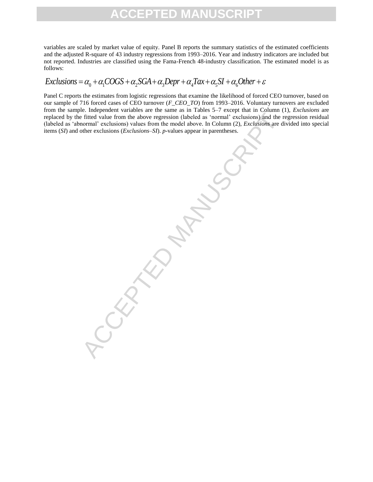variables are scaled by market value of equity. Panel B reports the summary statistics of the estimated coefficients and the adjusted R-square of 43 industry regressions from 1993–2016. Year and industry indicators are included but not reported. Industries are classified using the Fama-French 48-industry classification. The estimated model is as follows:

### $Exclusions = \alpha_0 + \alpha_1 COGS + \alpha_2 SGA + \alpha_3 Depr + \alpha_4 Tax + \alpha_5 SI + \alpha_6 Other + \varepsilon$

Panel C reports the estimates from logistic regressions that examine the likelihood of forced CEO turnover, based on our sample of 716 forced cases of CEO turnover (*F\_CEO\_TO*) from 1993–2016. Voluntary turnovers are excluded from the sample. Independent variables are the same as in Tables 5–7 except that in Column (1), *Exclusions* are replaced by the fitted value from the above regression (labeled as 'normal' exclusions) and the regression residual (labeled as 'abnormal' exclusions) values from the model above. In Column (2), *Exclusions* are divided into special items (*SI*) and other exclusions (*Exclusions*–*SI*). *p*-values appear in parentheses.

Fitted value from the above regression (labeled as 'normal' exclusions) and the righted value from the model above. In Column (2), *Exclusions* are d<br>normal' exclusions) values from the model above. In Column (2), *Exclusi*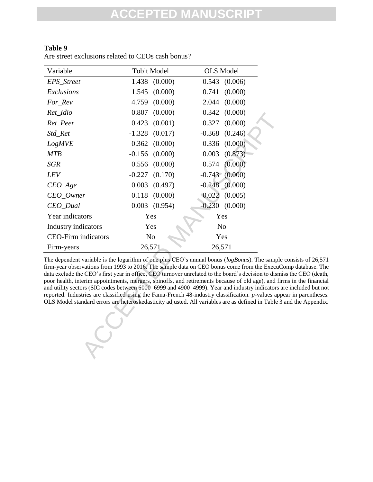| Variable                   | <b>Tobit Model</b>  | <b>OLS</b> Model                                                                                                                                                                                                                                                                                                                                                                                                                                                                                                                                                                                                                                                                                                                 |  |
|----------------------------|---------------------|----------------------------------------------------------------------------------------------------------------------------------------------------------------------------------------------------------------------------------------------------------------------------------------------------------------------------------------------------------------------------------------------------------------------------------------------------------------------------------------------------------------------------------------------------------------------------------------------------------------------------------------------------------------------------------------------------------------------------------|--|
| EPS_Street                 | 1.438<br>(0.000)    | 0.543<br>(0.006)                                                                                                                                                                                                                                                                                                                                                                                                                                                                                                                                                                                                                                                                                                                 |  |
| Exclusions                 | (0.000)<br>1.545    | (0.000)<br>0.741                                                                                                                                                                                                                                                                                                                                                                                                                                                                                                                                                                                                                                                                                                                 |  |
| For_Rev                    | (0.000)<br>4.759    | 2.044<br>(0.000)                                                                                                                                                                                                                                                                                                                                                                                                                                                                                                                                                                                                                                                                                                                 |  |
| Ret_Idio                   | 0.807<br>(0.000)    | (0.000)<br>0.342                                                                                                                                                                                                                                                                                                                                                                                                                                                                                                                                                                                                                                                                                                                 |  |
| Ret_Peer                   | 0.423<br>(0.001)    | (0.000)<br>0.327                                                                                                                                                                                                                                                                                                                                                                                                                                                                                                                                                                                                                                                                                                                 |  |
| Std_Ret                    | $-1.328$<br>(0.017) | (0.246)<br>$-0.368$                                                                                                                                                                                                                                                                                                                                                                                                                                                                                                                                                                                                                                                                                                              |  |
| <b>LogMVE</b>              | (0.000)<br>0.362    | (0.000)<br>0.336                                                                                                                                                                                                                                                                                                                                                                                                                                                                                                                                                                                                                                                                                                                 |  |
| <b>MTB</b>                 | (0.000)<br>$-0.156$ | 0.003<br>(0.873)                                                                                                                                                                                                                                                                                                                                                                                                                                                                                                                                                                                                                                                                                                                 |  |
| <b>SGR</b>                 | (0.000)<br>0.556    | (0.000)<br>0.574                                                                                                                                                                                                                                                                                                                                                                                                                                                                                                                                                                                                                                                                                                                 |  |
| LEV                        | $-0.227$<br>(0.170) | $-0.743$ $(0.000)$                                                                                                                                                                                                                                                                                                                                                                                                                                                                                                                                                                                                                                                                                                               |  |
| $CEO_Age$                  | 0.003<br>(0.497)    | $-0.248$ $(0.000)$                                                                                                                                                                                                                                                                                                                                                                                                                                                                                                                                                                                                                                                                                                               |  |
| CEO_Owner                  | 0.118<br>(0.000)    | 0.022<br>(0.005)                                                                                                                                                                                                                                                                                                                                                                                                                                                                                                                                                                                                                                                                                                                 |  |
| CEO_Dual                   | $0.003$ $(0.954)$   | $-0.230$<br>(0.000)                                                                                                                                                                                                                                                                                                                                                                                                                                                                                                                                                                                                                                                                                                              |  |
| Year indicators            | Yes                 | Yes                                                                                                                                                                                                                                                                                                                                                                                                                                                                                                                                                                                                                                                                                                                              |  |
|                            |                     |                                                                                                                                                                                                                                                                                                                                                                                                                                                                                                                                                                                                                                                                                                                                  |  |
| Industry indicators        | Yes                 | N <sub>o</sub>                                                                                                                                                                                                                                                                                                                                                                                                                                                                                                                                                                                                                                                                                                                   |  |
| <b>CEO-Firm indicators</b> | No                  | Yes                                                                                                                                                                                                                                                                                                                                                                                                                                                                                                                                                                                                                                                                                                                              |  |
| Firm-years                 | 26,571              | 26,571                                                                                                                                                                                                                                                                                                                                                                                                                                                                                                                                                                                                                                                                                                                           |  |
|                            |                     | The dependent variable is the logarithm of one plus CEO's annual bonus ( $logBonus$ ). The sample<br>firm-year observations from 1993 to 2016. The sample data on CEO bonus come from the ExecuCo<br>data exclude the CEO's first year in office, CEO turnover unrelated to the board's decision to dismi<br>poor health, interim appointments, mergers, spinoffs, and retirements because of old age), and firi<br>and utility sectors (SIC codes between 6000-6999 and 4900-4999). Year and industry indicators a<br>reported. Industries are classified using the Fama-French 48-industry classification. p-values appo<br>OLS Model standard errors are heteroskedasticity adjusted. All variables are as defined in Table 3 |  |

### **Table 9**

Are street exclusions related to CEOs cash bonus?

The dependent variable is the logarithm of one plus CEO's annual bonus (*logBonus*). The sample consists of 26,571 firm-year observations from 1993 to 2016. The sample data on CEO bonus come from the ExecuComp database. The data exclude the CEO's first year in office, CEO turnover unrelated to the board's decision to dismiss the CEO (death, poor health, interim appointments, mergers, spinoffs, and retirements because of old age), and firms in the financial and utility sectors (SIC codes between 6000–6999 and 4900–4999). Year and industry indicators are included but not reported. Industries are classified using the Fama-French 48-industry classification. *p-*values appear in parentheses. OLS Model standard errors are heteroskedasticity adjusted. All variables are as defined in Table 3 and the Appendix.